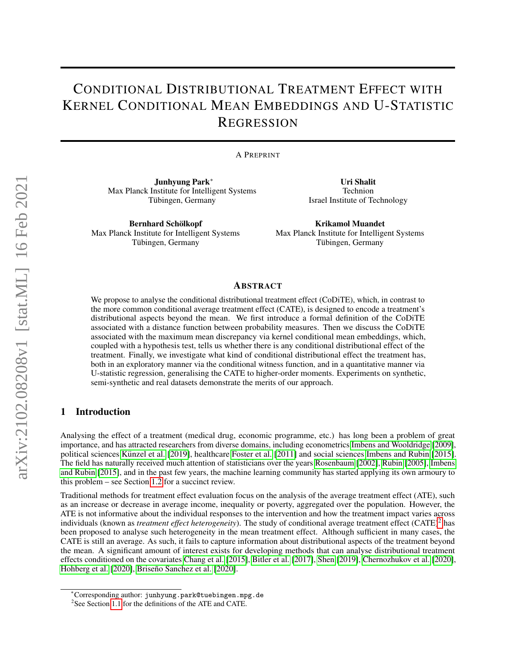# CONDITIONAL DISTRIBUTIONAL TREATMENT EFFECT WITH KERNEL CONDITIONAL MEAN EMBEDDINGS AND U-STATISTIC **REGRESSION**

A PREPRINT

Junhyung Park<sup>∗</sup> Max Planck Institute for Intelligent Systems Tübingen, Germany

Bernhard Schölkopf Max Planck Institute for Intelligent Systems Tübingen, Germany

Uri Shalit Technion Israel Institute of Technology

Krikamol Muandet Max Planck Institute for Intelligent Systems Tübingen, Germany

#### ABSTRACT

We propose to analyse the conditional distributional treatment effect (CoDiTE), which, in contrast to the more common conditional average treatment effect (CATE), is designed to encode a treatment's distributional aspects beyond the mean. We first introduce a formal definition of the CoDiTE associated with a distance function between probability measures. Then we discuss the CoDiTE associated with the maximum mean discrepancy via kernel conditional mean embeddings, which, coupled with a hypothesis test, tells us whether there is any conditional distributional effect of the treatment. Finally, we investigate what kind of conditional distributional effect the treatment has, both in an exploratory manner via the conditional witness function, and in a quantitative manner via U-statistic regression, generalising the CATE to higher-order moments. Experiments on synthetic, semi-synthetic and real datasets demonstrate the merits of our approach.

# 1 Introduction

Analysing the effect of a treatment (medical drug, economic programme, etc.) has long been a problem of great importance, and has attracted researchers from diverse domains, including econometrics [Imbens and Wooldridge](#page-10-0) [\[2009\]](#page-10-0), political sciences Künzel et al. [\[2019\]](#page-11-0), healthcare [Foster et al.](#page-10-1) [\[2011\]](#page-10-1) and social sciences [Imbens and Rubin](#page-10-2) [\[2015\]](#page-10-2). The field has naturally received much attention of statisticians over the years [Rosenbaum](#page-11-1) [\[2002\]](#page-11-1), [Rubin](#page-11-2) [\[2005\]](#page-11-2), [Imbens](#page-10-2) [and Rubin](#page-10-2) [\[2015\]](#page-10-2), and in the past few years, the machine learning community has started applying its own armoury to this problem – see Section [1.2](#page-2-0) for a succinct review.

Traditional methods for treatment effect evaluation focus on the analysis of the average treatment effect (ATE), such as an increase or decrease in average income, inequality or poverty, aggregated over the population. However, the ATE is not informative about the individual responses to the intervention and how the treatment impact varies across individuals (known as *treatment effect heterogeneity*). The study of conditional average treatment effect (CATE)<sup>[2](#page-0-0)</sup> has been proposed to analyse such heterogeneity in the mean treatment effect. Although sufficient in many cases, the CATE is still an average. As such, it fails to capture information about distributional aspects of the treatment beyond the mean. A significant amount of interest exists for developing methods that can analyse distributional treatment effects conditioned on the covariates [Chang et al.](#page-10-3) [\[2015\]](#page-10-3), [Bitler et al.](#page-9-0) [\[2017\]](#page-9-0), [Shen](#page-12-0) [\[2019\]](#page-12-0), [Chernozhukov et al.](#page-10-4) [\[2020\]](#page-10-4), [Hohberg et al.](#page-10-5) [\[2020\]](#page-9-1), Briseño Sanchez et al. [2020].

<sup>∗</sup>Corresponding author: junhyung.park@tuebingen.mpg.de

<span id="page-0-0"></span><sup>&</sup>lt;sup>2</sup>See Section [1.1](#page-1-0) for the definitions of the ATE and CATE.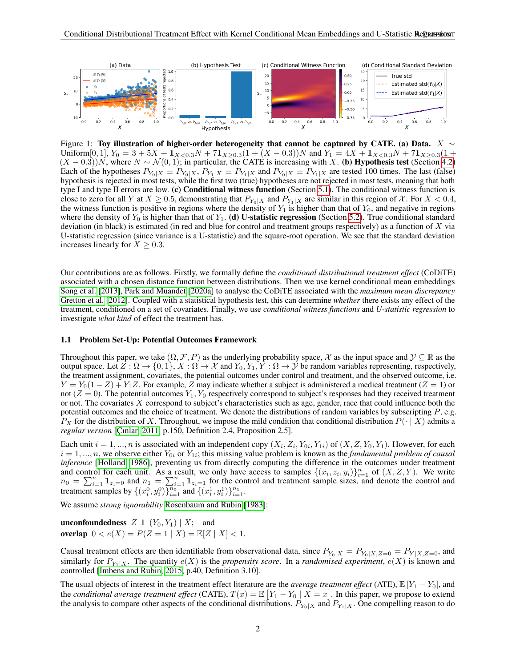

<span id="page-1-1"></span>Figure 1: Toy illustration of higher-order heterogeneity that cannot be captured by CATE. (a) Data. X  $\sim$ Uniform $[0,1]$ ,  $Y_0 = 3 + 5X + \mathbf{1}_{X < 0.3}N + 7\mathbf{1}_{X \geq 0.3}(1 + (X - 0.3))N$  and  $Y_1 = 4X + \mathbf{1}_{X < 0.3}N + 7\mathbf{1}_{X \geq 0.3}(1 +$  $(X - 0.3)N$ , where  $N \sim \mathcal{N}(0, 1)$ ; in particular, the CATE is increasing with X. (b) Hypothesis test (Section [4.2\)](#page-4-0) Each of the hypotheses  $P_{Y_0|X} \equiv P_{Y_0|X}$ ,  $P_{Y_1|X} \equiv P_{Y_1|X}$  and  $P_{Y_0|X} \equiv P_{Y_1|X}$  are tested 100 times. The last (false) hypothesis is rejected in most tests, while the first two (true) hypotheses are not rejected in most tests, meaning that both type I and type II errors are low. (c) Conditional witness function (Section [5.1\)](#page-6-0). The conditional witness function is close to zero for all Y at  $X \ge 0.5$ , demonstrating that  $P_{Y_0|X}$  and  $P_{Y_1|X}$  are similar in this region of X. For  $X < 0.4$ , the witness function is positive in regions where the density of  $Y_1$  is higher than that of  $Y_0$ , and negative in regions where the density of  $Y_0$  is higher than that of  $Y_1$ . (d) U-statistic regression (Section [5.2\)](#page-6-1). True conditional standard deviation (in black) is estimated (in red and blue for control and treatment groups respectively) as a function of X via U-statistic regression (since variance is a U-statistic) and the square-root operation. We see that the standard deviation increases linearly for  $X \geq 0.3$ .

Our contributions are as follows. Firstly, we formally define the *conditional distributional treatment effect* (CoDiTE) associated with a chosen distance function between distributions. Then we use kernel conditional mean embeddings [Song et al.](#page-12-1) [\[2013\]](#page-12-1), [Park and Muandet](#page-11-3) [\[2020a\]](#page-11-3) to analyse the CoDiTE associated with the *maximum mean discrepancy* [Gretton et al.](#page-10-6) [\[2012\]](#page-10-6). Coupled with a statistical hypothesis test, this can determine *whether* there exists any effect of the treatment, conditioned on a set of covariates. Finally, we use *conditional witness functions* and *U-statistic regression* to investigate *what kind* of effect the treatment has.

#### <span id="page-1-0"></span>1.1 Problem Set-Up: Potential Outcomes Framework

Throughout this paper, we take  $(\Omega, \mathcal{F}, P)$  as the underlying probability space, X as the input space and  $\mathcal{Y} \subseteq \mathbb{R}$  as the output space. Let  $Z : \Omega \to \{0, 1\}$ ,  $X : \Omega \to \mathcal{X}$  and  $Y_0, Y_1, Y : \Omega \to \mathcal{Y}$  be random variables representing, respectively, the treatment assignment, covariates, the potential outcomes under control and treatment, and the observed outcome, i.e.  $Y = Y_0(1 - Z) + Y_1Z$ . For example, Z may indicate whether a subject is administered a medical treatment (Z = 1) or not  $(Z = 0)$ . The potential outcomes  $Y_1, Y_0$  respectively correspond to subject's responses had they received treatment or not. The covariates X correspond to subject's characteristics such as age, gender, race that could influence both the potential outcomes and the choice of treatment. We denote the distributions of random variables by subscripting  $P$ , e.g.  $P_X$  for the distribution of X. Throughout, we impose the mild condition that conditional distribution  $P(\cdot | X)$  admits a *regular version* [Çınlar, 2011, p.150, Definition 2.4, Proposition 2.5].

Each unit  $i = 1, ..., n$  is associated with an independent copy  $(X_i, Z_i, Y_{0i}, Y_{1i})$  of  $(X, Z, Y_0, Y_1)$ . However, for each  $i = 1, ..., n$ , we observe either  $Y_{0i}$  or  $Y_{1i}$ ; this missing value problem is known as the *fundamental problem of causal inference* [\[Holland, 1986\]](#page-10-8), preventing us from directly computing the difference in the outcomes under treatment and control for each unit. As a result, we only have access to samples  $\{(x_i, z_i, y_i)\}_{i=1}^n$  of  $(X, Z, Y)$ . We write  $n_0 = \sum_{i=1}^n \mathbf{1}_{z_i=0}$  and  $n_1 = \sum_{i=1}^n \mathbf{1}_{z_i=1}$  for the control and treatment sample sizes, and denote the control and treatment samples by  $\{(x_i^0, y_i^0)\}_{i=1}^{n_0}$  and  $\{(x_i^1, y_i^1)\}_{i=1}^{n_1}$ .

We assume *strong ignorability* [Rosenbaum and Rubin](#page-11-4) [\[1983\]](#page-11-4):

**unconfoundedness**  $Z \perp (Y_0, Y_1) | X;$  and overlap  $0 < e(X) = P(Z = 1 | X) = \mathbb{E}[Z | X] < 1$ .

Causal treatment effects are then identifiable from observational data, since  $P_{Y_0|X} = P_{Y_0|X,Z=0} = P_{Y|X,Z=0}$ , and similarly for  $P_{Y_1|X}$ . The quantity  $e(X)$  is the *propensity score*. In a *randomised experiment*,  $e(X)$  is known and controlled [\[Imbens and Rubin, 2015,](#page-10-2) p.40, Definition 3.10].

The usual objects of interest in the treatment effect literature are the *average treatment effect* (ATE),  $\mathbb{E}[Y_1 - Y_0]$ , and the *conditional average treatment effect* (CATE),  $T(x) = \mathbb{E}\left[Y_1 - Y_0 \mid X = x\right]$ . In this paper, we propose to extend the analysis to compare other aspects of the conditional distributions,  $P_{Y_0|X}$  and  $P_{Y_1|X}$ . One compelling reason to do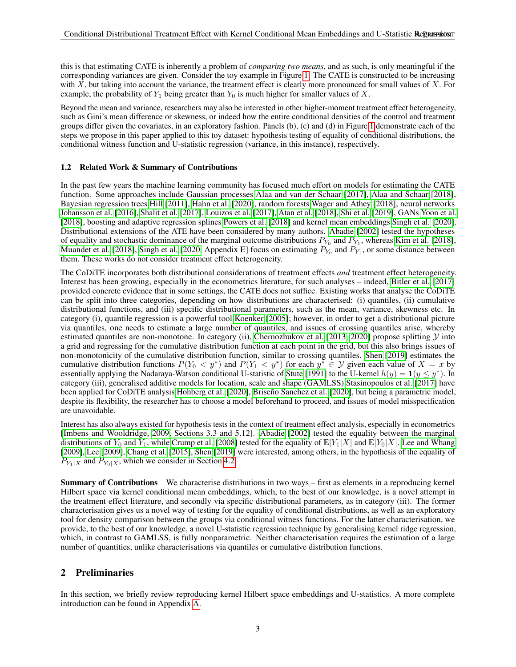this is that estimating CATE is inherently a problem of *comparing two means*, and as such, is only meaningful if the corresponding variances are given. Consider the toy example in Figure [1.](#page-1-1) The CATE is constructed to be increasing with  $X$ , but taking into account the variance, the treatment effect is clearly more pronounced for small values of  $X$ . For example, the probability of  $Y_1$  being greater than  $Y_0$  is much higher for smaller values of X.

Beyond the mean and variance, researchers may also be interested in other higher-moment treatment effect heterogeneity, such as Gini's mean difference or skewness, or indeed how the entire conditional densities of the control and treatment groups differ given the covariates, in an exploratory fashion. Panels (b), (c) and (d) in Figure [1](#page-1-1) demonstrate each of the steps we propose in this paper applied to this toy dataset: hypothesis testing of equality of conditional distributions, the conditional witness function and U-statistic regression (variance, in this instance), respectively.

## <span id="page-2-0"></span>1.2 Related Work & Summary of Contributions

In the past few years the machine learning community has focused much effort on models for estimating the CATE function. Some approaches include Gaussian processes [Alaa and van der Schaar](#page-9-2) [\[2017\]](#page-9-2), [Alaa and Schaar](#page-9-3) [\[2018\]](#page-9-3), Bayesian regression trees [Hill](#page-10-9) [\[2011\]](#page-10-9), [Hahn et al.](#page-10-10) [\[2020\]](#page-10-10), random forests [Wager and Athey](#page-12-2) [\[2018\]](#page-12-2), neural networks [Johansson et al.](#page-10-11) [\[2016\]](#page-10-11), [Shalit et al.](#page-12-3) [\[2017\]](#page-12-3), [Louizos et al.](#page-11-5) [\[2017\]](#page-11-5), [Atan et al.](#page-9-4) [\[2018\]](#page-9-4), [Shi et al.](#page-12-4) [\[2019\]](#page-12-4), GANs [Yoon et al.](#page-12-5) [\[2018\]](#page-12-5), boosting and adaptive regression splines [Powers et al.](#page-11-6) [\[2018\]](#page-11-6) and kernel mean embeddings [Singh et al.](#page-12-6) [\[2020\]](#page-12-6). Distributional extensions of the ATE have been considered by many authors. [Abadie](#page-9-5) [\[2002\]](#page-9-5) tested the hypotheses of equality and stochastic dominance of the marginal outcome distributions  $P_{Y_0}$  and  $P_{Y_1}$ , whereas [Kim et al.](#page-11-7) [\[2018\]](#page-11-7), [Muandet et al.](#page-11-8) [\[2018\]](#page-11-8), [Singh et al.](#page-12-6) [\[2020,](#page-12-6) Appendix E] focus on estimating  $P_{Y_0}$  and  $P_{Y_1}$ , or some distance between them. These works do not consider treatment effect heterogeneity.

The CoDiTE incorporates both distributional considerations of treatment effects *and* treatment effect heterogeneity. Interest has been growing, especially in the econometrics literature, for such analyses – indeed, [Bitler et al.](#page-9-0) [\[2017\]](#page-9-0) provided concrete evidence that in some settings, the CATE does not suffice. Existing works that analyse the CoDiTE can be split into three categories, depending on how distributions are characterised: (i) quantiles, (ii) cumulative distributional functions, and (iii) specific distributional parameters, such as the mean, variance, skewness etc. In category (i), quantile regression is a powerful tool [Koenker](#page-11-9) [\[2005\]](#page-11-9); however, in order to get a distributional picture via quantiles, one needs to estimate a large number of quantiles, and issues of crossing quantiles arise, whereby estimated quantiles are non-monotone. In category (ii), [Chernozhukov et al.](#page-10-12) [\[2013,](#page-10-12) [2020\]](#page-10-4) propose splitting  $Y$  into a grid and regressing for the cumulative distribution function at each point in the grid, but this also brings issues of non-monotonicity of the cumulative distribution function, similar to crossing quantiles. [Shen](#page-12-0) [\[2019\]](#page-12-0) estimates the cumulative distribution functions  $P(Y_0 \lt y^*)$  and  $P(Y_1 \lt y^*)$  for each  $y^* \in Y$  given each value of  $X = x$  by essentially applying the Nadaraya-Watson conditional U-statistic of [Stute](#page-12-7) [\[1991\]](#page-12-7) to the U-kernel  $h(y) = \mathbf{1}(y \leq y^*)$ . In category (iii), generalised additive models for location, scale and shape (GAMLSS) [Stasinopoulos et al.](#page-12-8) [\[2017\]](#page-12-8) have been applied for CoDiTE analysis [Hohberg et al.](#page-10-5) [\[2020\]](#page-9-1), Briseño Sanchez et al. [2020], but being a parametric model, despite its flexibility, the researcher has to choose a model beforehand to proceed, and issues of model misspecification are unavoidable.

Interest has also always existed for hypothesis tests in the context of treatment effect analysis, especially in econometrics [\[Imbens and Wooldridge, 2009,](#page-10-0) Sections 3.3 and 5.12]. [Abadie](#page-9-5) [\[2002\]](#page-9-5) tested the equality between the marginal distributions of  $Y_0$  and  $Y_1$ , while [Crump et al.](#page-10-13) [\[2008\]](#page-10-13) tested for the equality of  $\mathbb{E}[Y_1|X]$  and  $\mathbb{E}[Y_0|X]$ . [Lee and Whang](#page-11-10) [\[2009\]](#page-11-10), [Lee](#page-11-11) [\[2009\]](#page-11-11), [Chang et al.](#page-10-3) [\[2015\]](#page-10-3), [Shen](#page-12-0) [\[2019\]](#page-12-0) were interested, among others, in the hypothesis of the equality of  $P_{Y_1|X}$  and  $P_{Y_0|X}$ , which we consider in Section [4.2.](#page-4-0)

Summary of Contributions We characterise distributions in two ways – first as elements in a reproducing kernel Hilbert space via kernel conditional mean embeddings, which, to the best of our knowledge, is a novel attempt in the treatment effect literature, and secondly via specific distributional parameters, as in category (iii). The former characterisation gives us a novel way of testing for the equality of conditional distributions, as well as an exploratory tool for density comparison between the groups via conditional witness functions. For the latter characterisation, we provide, to the best of our knowledge, a novel U-statistic regression technique by generalising kernel ridge regression, which, in contrast to GAMLSS, is fully nonparametric. Neither characterisation requires the estimation of a large number of quantities, unlike characterisations via quantiles or cumulative distribution functions.

# 2 Preliminaries

In this section, we briefly review reproducing kernel Hilbert space embeddings and U-statistics. A more complete introduction can be found in Appendix [A.](#page-13-0)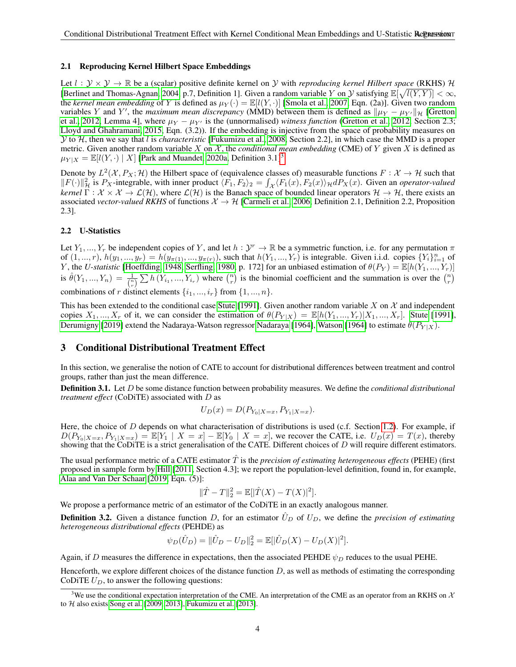### <span id="page-3-1"></span>2.1 Reproducing Kernel Hilbert Space Embeddings

Let  $l : \mathcal{Y} \times \mathcal{Y} \to \mathbb{R}$  be a (scalar) positive definite kernel on  $\mathcal{Y}$  with *reproducing kernel Hilbert space* (RKHS)  $\mathcal{H}$ [\[Berlinet and Thomas-Agnan, 2004,](#page-9-6) p.7, Definition 1]. Given a random variable Y on Y satisfying  $\mathbb{E}[\sqrt{l(Y,Y)}]<\infty$ , the *kernel mean embedding* of Y is defined as  $\mu_Y(\cdot) = \mathbb{E}[l(Y, \cdot)]$  [\[Smola et al., 2007,](#page-12-9) Eqn. (2a)]. Given two random variables Y and Y', the *maximum mean discrepancy* (MMD) between them is defined as  $\|\mu_Y - \mu_{Y'}\|_{\mathcal{H}}$  [\[Gretton](#page-10-6) [et al., 2012,](#page-10-6) Lemma 4], where  $\mu_Y - \mu_{Y'}$  is the (unnormalised) *witness function* [\(Gretton et al., 2012,](#page-10-6) Section 2.3; [Lloyd and Ghahramani, 2015,](#page-11-12) Eqn. (3.2)). If the embedding is injective from the space of probability measures on Y to H, then we say that l is *characteristic* [\[Fukumizu et al., 2008,](#page-10-14) Section 2.2], in which case the MMD is a proper metric. Given another random variable X on  $\mathcal{X}$ , the *conditional mean embedding* (CME) of Y given X is defined as  $\mu_{Y|X} = \mathbb{E}[l(Y, \cdot) | X]$  [\[Park and Muandet, 2020a,](#page-11-3) Definition [3](#page-3-0).1]<sup>3</sup>.

Denote by  $L^2(\mathcal{X}, P_X; \mathcal{H})$  the Hilbert space of (equivalence classes of) measurable functions  $F: \mathcal{X} \to \mathcal{H}$  such that  $||F(\cdot)||_{\mathcal{H}}^2$  is  $P_X$ -integrable, with inner product  $\langle F_1, F_2 \rangle_2 = \int_{\mathcal{X}} \langle F_1(x), F_2(x) \rangle_{\mathcal{H}} dP_X(x)$ . Given an *operator-valued kernel*  $\Gamma : \mathcal{X} \times \mathcal{X} \to \mathcal{L}(\mathcal{H})$ , where  $\mathcal{L}(\mathcal{H})$  is the Banach space of bounded linear operators  $\mathcal{H} \to \mathcal{H}$ , there exists an associated *vector-valued RKHS* of functions  $\mathcal{X} \to \mathcal{H}$  [\[Carmeli et al., 2006,](#page-10-15) Definition 2.1, Definition 2.2, Proposition 2.3].

## <span id="page-3-2"></span>2.2 U-Statistics

Let  $Y_1, ..., Y_r$  be independent copies of Y, and let  $h: \mathcal{Y}^r \to \mathbb{R}$  be a symmetric function, i.e. for any permutation  $\pi$ of  $(1, ..., r)$ ,  $h(y_1, ..., y_r) = h(y_{\pi(1)}, ..., y_{\pi(r)})$ , such that  $h(Y_1, ..., Y_r)$  is integrable. Given i.i.d. copies  $\{Y_i\}_{i=1}^n$  of Y, the *U-statistic* [\[Hoeffding, 1948,](#page-10-16) [Serfling, 1980,](#page-12-10) p. 172] for an unbiased estimation of  $\theta(P_Y) = \mathbb{E}[h(Y_1, ..., Y_r)]$ is  $\hat{\theta}(Y_1, ..., Y_n) = \frac{1}{\binom{n}{r}} \sum h(Y_{i_1}, ..., Y_{i_r})$  where  $\binom{n}{r}$  is the binomial coefficient and the summation is over the  $\binom{n}{r}$ combinations of r distinct elements  $\{i_1, ..., i_r\}$  from  $\{1, ..., n\}$ .

This has been extended to the conditional case [Stute](#page-12-7) [\[1991\]](#page-12-7). Given another random variable X on  $\mathcal X$  and independent copies  $X_1, ..., X_r$  of it, we can consider the estimation of  $\theta(P_{Y|X}) = \mathbb{E}[h(Y_1, ..., Y_r)|X_1, ..., X_r]$ . [Stute](#page-12-7) [\[1991\]](#page-12-7), [Derumigny](#page-10-17) [\[2019\]](#page-10-17) extend the [Nadaraya](#page-11-13)-Watson regressor Nadaraya [\[1964\]](#page-12-11), [Watson](#page-12-11) [1964] to estimate  $\theta(P_{Y|X})$ .

# 3 Conditional Distributional Treatment Effect

In this section, we generalise the notion of CATE to account for distributional differences between treatment and control groups, rather than just the mean difference.

Definition 3.1. Let D be some distance function between probability measures. We define the *conditional distributional treatment effect* (CoDiTE) associated with D as

$$
U_D(x) = D(P_{Y_0|X=x}, P_{Y_1|X=x}).
$$

Here, the choice of D depends on what characterisation of distributions is used (c.f. Section [1.2\)](#page-2-0). For example, if  $D(P_{Y_0|X=x}, P_{Y_1|X=x}) = \mathbb{E}[Y_1 | X=x] - \mathbb{E}[Y_0 | X=x]$ , we recover the CATE, i.e.  $U_D(x) = T(x)$ , thereby showing that the CoDiTE is a strict generalisation of the CATE. Different choices of  $D$  will require different estimators.

The usual performance metric of a CATE estimator Tˆ is the *precision of estimating heterogeneous effects* (PEHE) (first proposed in sample form by [Hill](#page-10-9) [\[2011,](#page-10-9) Section 4.3]; we report the population-level definition, found in, for example, [Alaa and Van Der Schaar](#page-9-7) [\[2019,](#page-9-7) Eqn. (5)]:

$$
\|\hat{T} - T\|_2^2 = \mathbb{E}[|\hat{T}(X) - T(X)|^2].
$$

We propose a performance metric of an estimator of the CoDiTE in an exactly analogous manner.

**Definition 3.2.** Given a distance function D, for an estimator  $\hat{U}_D$  of  $U_D$ , we define the *precision of estimating heterogeneous distributional effects* (PEHDE) as

$$
\psi_D(\hat{U}_D) = \|\hat{U}_D - U_D\|_2^2 = \mathbb{E}[\|\hat{U}_D(X) - U_D(X)\|^2].
$$

Again, if D measures the difference in expectations, then the associated PEHDE  $\psi_D$  reduces to the usual PEHE.

Henceforth, we explore different choices of the distance function  $D$ , as well as methods of estimating the corresponding CoDiTE  $U_D$ , to answer the following questions:

<span id="page-3-0"></span><sup>&</sup>lt;sup>3</sup>We use the conditional expectation interpretation of the CME. An interpretation of the CME as an operator from an RKHS on  $\mathcal{X}$ to  $H$  also exists [Song et al.](#page-12-12) [\[2009,](#page-12-12) [2013\]](#page-12-1), [Fukumizu et al.](#page-10-18) [\[2013\]](#page-10-18).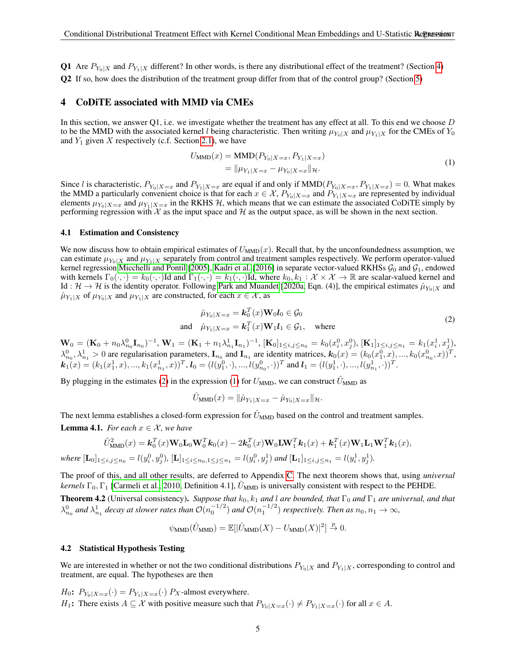Q1 Are  $P_{Y_0|X}$  and  $P_{Y_1|X}$  different? In other words, is there any distributional effect of the treatment? (Section [4\)](#page-4-1) Q2 If so, how does the distribution of the treatment group differ from that of the control group? (Section [5\)](#page-5-0)

#### <span id="page-4-1"></span>4 CoDiTE associated with MMD via CMEs

In this section, we answer Q1, i.e. we investigate whether the treatment has any effect at all. To this end we choose D to be the MMD with the associated kernel l being characteristic. Then writing  $\mu_{Y_0|X}$  and  $\mu_{Y_1|X}$  for the CMEs of  $Y_0$ and  $Y_1$  given X respectively (c.f. Section [2.1\)](#page-3-1), we have

$$
U_{\text{MMD}}(x) = \text{MMD}(P_{Y_0|X=x}, P_{Y_1|X=x})
$$
  
=  $\|\mu_{Y_1|X=x} - \mu_{Y_0|X=x}\|_{\mathcal{H}}.$  (1)

<span id="page-4-3"></span>Since l is characteristic,  $P_{Y_0|X=x}$  and  $P_{Y_1|X=x}$  are equal if and only if  $MMD(P_{Y_0|X=x}, P_{Y_1|X=x}) = 0$ . What makes the MMD a particularly convenient choice is that for each  $x \in \mathcal{X}$ ,  $P_{Y_0|X=x}$  and  $P_{Y_1|X=x}$  are represented by individual elements  $\mu_{Y_0|X=x}$  and  $\mu_{Y_1|X=x}$  in the RKHS H, which means that we can estimate the associated CoDiTE simply by performing regression with  $\mathcal X$  as the input space and  $\mathcal H$  as the output space, as will be shown in the next section.

#### <span id="page-4-6"></span>4.1 Estimation and Consistency

We now discuss how to obtain empirical estimates of  $U_{\text{MMD}}(x)$ . Recall that, by the unconfoundedness assumption, we can estimate  $\mu_{Y_0|X}$  and  $\mu_{Y_1|X}$  separately from control and treatment samples respectively. We perform operator-valued kernel regression [Micchelli and Pontil](#page-11-14) [\[2005\]](#page-11-14), [Kadri et al.](#page-10-19) [\[2016\]](#page-10-19) in separate vector-valued RKHSs  $G_0$  and  $G_1$ , endowed with kernels  $\Gamma_0(\cdot, \cdot) = k_0(\cdot, \cdot)$ Id and  $\Gamma_1(\cdot, \cdot) = k_1(\cdot, \cdot)$ Id, where  $k_0, k_1 : \mathcal{X} \times \mathcal{X} \to \mathbb{R}$  are scalar-valued kernel and Id :  $\mathcal{H} \to \mathcal{H}$  is the identity operator. Following [Park and Muandet](#page-11-3) [\[2020a,](#page-11-3) Eqn. (4)], the empirical estimates  $\hat{\mu}_{Y_0|X}$  and  $\hat{\mu}_{Y_1|X}$  of  $\mu_{Y_0|X}$  and  $\mu_{Y_1|X}$  are constructed, for each  $x \in \mathcal{X}$ , as

$$
\hat{\mu}_{Y_0|X=x} = \mathbf{k}_0^T(x)\mathbf{W}_0\mathbf{l}_0 \in \mathcal{G}_0
$$
  
and 
$$
\hat{\mu}_{Y_1|X=x} = \mathbf{k}_1^T(x)\mathbf{W}_1\mathbf{l}_1 \in \mathcal{G}_1, \text{ where}
$$
\n(2)

<span id="page-4-2"></span> $\mathbf{W}_0 = (\mathbf{K}_0 + n_0 \lambda_{n_0}^0 \mathbf{I}_{n_0})^{-1}, \mathbf{W}_1 = (\mathbf{K}_1 + n_1 \lambda_{n_1}^1 \mathbf{I}_{n_1})^{-1}, [\mathbf{K}_0]_{1 \le i,j \le n_0} = k_0(x_i^0, x_j^0), [\mathbf{K}_1]_{1 \le i,j \le n_1} = k_1(x_i^1, x_j^1),$  $\lambda_{n_0}^0, \lambda_{n_1}^1 > 0$  are regularisation parameters,  $\mathbf{I}_{n_0}$  and  $\mathbf{I}_{n_1}$  are identity matrices,  $\mathbf{k}_0(x) = (k_0(x_1^0, x), ..., k_0(x_{n_0}^0, x))^T$ ,  $\mathbf{k}_1(x) = (k_1(x_1^1, x), ..., k_1(x_{n_1}^1, x))^T$ ,  $\mathbf{l}_0 = (l(y_1^0, \cdot), ..., l(y_{n_0}^0, \cdot))^T$  and  $\mathbf{l}_1 = (l(y_1^1, \cdot), ..., l(y_{n_1}^1, \cdot))^T$ .

By plugging in the estimates [\(2\)](#page-4-2) in the expression [\(1\)](#page-4-3) for  $U_{\text{MMD}}$ , we can construct  $\hat{U}_{\text{MMD}}$  as

$$
\hat{U}_{\text{MMD}}(x) = \|\hat{\mu}_{Y_1|X=x} - \hat{\mu}_{Y_0|X=x}\|_{\mathcal{H}}.
$$

<span id="page-4-4"></span>The next lemma establishes a closed-form expression for  $U_{\text{MMD}}$  based on the control and treatment samples. **Lemma 4.1.** *For each*  $x \in \mathcal{X}$ *, we have* 

$$
\hat{U}_{\text{MMD}}^2(x) = \mathbf{k}_0^T(x)\mathbf{W}_0\mathbf{L}_0\mathbf{W}_0^T\mathbf{k}_0(x) - 2\mathbf{k}_0^T(x)\mathbf{W}_0\mathbf{L}\mathbf{W}_1^T\mathbf{k}_1(x) + \mathbf{k}_1^T(x)\mathbf{W}_1\mathbf{L}_1\mathbf{W}_1^T\mathbf{k}_1(x),
$$
  
where  $[\mathbf{L}_0]_{1 \le i,j \le n_0} = l(y_i^0, y_j^0)$ ,  $[\mathbf{L}]_{1 \le i \le n_0, 1 \le j \le n_1} = l(y_i^0, y_j^1)$  and  $[\mathbf{L}_1]_{1 \le i,j \le n_1} = l(y_i^1, y_j^1)$ .

<span id="page-4-5"></span>The proof of this, and all other results, are deferred to Appendix [C.](#page-16-0) The next theorem shows that, using *universal kernels*  $\Gamma_0$ ,  $\Gamma_1$  [\[Carmeli et al., 2010,](#page-10-20) Definition 4.1],  $\ddot{U}_{\text{MMD}}$  is universally consistent with respect to the PEHDE. **Theorem 4.2** (Universal consistency). *Suppose that*  $k_0$ ,  $k_1$  *and* l *are bounded, that*  $\Gamma_0$  *and*  $\Gamma_1$  *are universal, and that*  $\lambda_{n_0}^0$  and  $\lambda_{n_1}^1$  decay at slower rates than  $\mathcal{O}(n_0^{-1/2})$  and  $\mathcal{O}(n_1^{-1/2})$  respectively. Then as  $n_0, n_1 \to \infty$ ,

 $\psi_{\text{MMD}}(\hat{U}_{\text{MMD}}) = \mathbb{E}[|\hat{U}_{\text{MMD}}(X) - U_{\text{MMD}}(X)|^2] \overset{p}{\to} 0.$ 

#### <span id="page-4-0"></span>4.2 Statistical Hypothesis Testing

We are interested in whether or not the two conditional distributions  $P_{Y_0|X}$  and  $P_{Y_1|X}$ , corresponding to control and treatment, are equal. The hypotheses are then

 $H_0$ :  $P_{Y_0|X=x}(\cdot) = P_{Y_1|X=x}(\cdot)$   $P_X$ -almost everywhere. H<sub>1</sub>: There exists  $A \subseteq \mathcal{X}$  with positive measure such that  $P_{Y_0|X=x}(\cdot) \neq P_{Y_1|X=x}(\cdot)$  for all  $x \in A$ .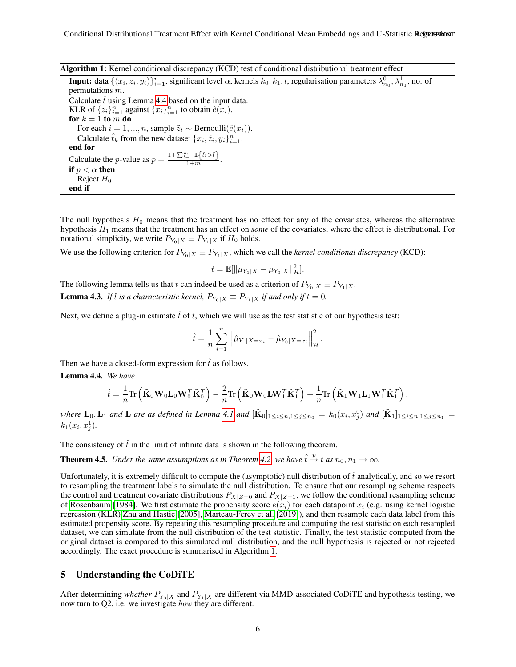Algorithm 1: Kernel conditional discrepancy (KCD) test of conditional distributional treatment effect

<span id="page-5-2"></span>**Input:** data  $\{(x_i, z_i, y_i)\}_{i=1}^n$ , significant level  $\alpha$ , kernels  $k_0, k_1, l$ , regularisation parameters  $\lambda_{n_0}^0, \lambda_{n_1}^1$ , no. of permutations m. Calculate  $\hat{t}$  using Lemma [4.4](#page-5-1) based on the input data. KLR of  $\{z_i\}_{i=1}^n$  against  $\{x_i\}_{i=1}^n$  to obtain  $\hat{e}(x_i)$ . for  $k = 1$  to m do For each  $i = 1, ..., n$ , sample  $\tilde{z}_i \sim \text{Bernoulli}(\hat{e}(x_i)).$ Calculate  $\hat{t}_k$  from the new dataset  $\{x_i, \tilde{z}_i, y_i\}_{i=1}^n$ . end for Calculate the *p*-value as  $p = \frac{1 + \sum_{i=1}^{m} \mathbf{1}\left\{\hat{t}_i > \hat{t}\right\}}{1 + m}$ . if  $p < \alpha$  then Reject  $H_0$ . end if

The null hypothesis  $H_0$  means that the treatment has no effect for any of the covariates, whereas the alternative hypothesis H<sup>1</sup> means that the treatment has an effect on *some* of the covariates, where the effect is distributional. For notational simplicity, we write  $P_{Y_0|X} \equiv P_{Y_1|X}$  if  $H_0$  holds.

We use the following criterion for  $P_{Y_0|X} \equiv P_{Y_1|X}$ , which we call the *kernel conditional discrepancy* (KCD):

$$
t = \mathbb{E}[\|\mu_{Y_1|X} - \mu_{Y_0|X}\|_{\mathcal{H}}^2].
$$

<span id="page-5-3"></span>The following lemma tells us that t can indeed be used as a criterion of  $P_{Y_0|X} \equiv P_{Y_1|X}$ . **Lemma 4.3.** *If l is a characteristic kernel,*  $P_{Y_0|X} \equiv P_{Y_1|X}$  *if and only if*  $t = 0$ *.* 

Next, we define a plug-in estimate  $\hat{t}$  of t, which we will use as the test statistic of our hypothesis test:

$$
\hat{t} = \frac{1}{n} \sum_{i=1}^{n} \left\| \hat{\mu}_{Y_1|X=x_i} - \hat{\mu}_{Y_0|X=x_i} \right\|_{\mathcal{H}}^2.
$$

Then we have a closed-form expression for  $\hat{t}$  as follows.

<span id="page-5-1"></span>Lemma 4.4. *We have*

$$
\hat{t} = \frac{1}{n} \text{Tr} \left( \tilde{\mathbf{K}}_0 \mathbf{W}_0 \mathbf{L}_0 \mathbf{W}_0^T \tilde{\mathbf{K}}_0^T \right) - \frac{2}{n} \text{Tr} \left( \tilde{\mathbf{K}}_0 \mathbf{W}_0 \mathbf{L} \mathbf{W}_1^T \tilde{\mathbf{K}}_1^T \right) + \frac{1}{n} \text{Tr} \left( \tilde{\mathbf{K}}_1 \mathbf{W}_1 \mathbf{L}_1 \mathbf{W}_1^T \tilde{\mathbf{K}}_1^T \right),
$$

where  $\mathbf{L}_0$ ,  $\mathbf{L}_1$  and  $\mathbf{L}$  are as defined in Lemma [4.1](#page-4-4) and  $[\tilde{\mathbf{K}}_0]_{1\leq i\leq n,1\leq j\leq n_0} = k_0(x_i,x_j^0)$  and  $[\tilde{\mathbf{K}}_1]_{1\leq i\leq n,1\leq j\leq n_1}$  $k_1(x_i, x_j^1)$ .

The consistency of  $\hat{t}$  in the limit of infinite data is shown in the following theorem.

**Theorem 4.5.** Under the same assumptions as in Theorem [4.2,](#page-4-5) we have  $\hat{t} \stackrel{p}{\to} t$  as  $n_0, n_1 \to \infty$ .

Unfortunately, it is extremely difficult to compute the (asymptotic) null distribution of  $\hat{t}$  analytically, and so we resort to resampling the treatment labels to simulate the null distribution. To ensure that our resampling scheme respects the control and treatment covariate distributions  $P_{X|Z=0}$  and  $P_{X|Z=1}$ , we follow the conditional resampling scheme of [Rosenbaum](#page-11-15) [\[1984\]](#page-11-15). We first estimate the propensity score  $e(x_i)$  for each datapoint  $x_i$  (e.g. using kernel logistic regression (KLR) [Zhu and Hastie](#page-12-13) [\[2005\]](#page-12-13), [Marteau-Ferey et al.](#page-11-16) [\[2019\]](#page-11-16)), and then resample each data label from this estimated propensity score. By repeating this resampling procedure and computing the test statistic on each resampled dataset, we can simulate from the null distribution of the test statistic. Finally, the test statistic computed from the original dataset is compared to this simulated null distribution, and the null hypothesis is rejected or not rejected accordingly. The exact procedure is summarised in Algorithm [1.](#page-5-2)

# <span id="page-5-0"></span>5 Understanding the CoDiTE

After determining *whether*  $P_{Y_0|X}$  and  $P_{Y_1|X}$  are different via MMD-associated CoDiTE and hypothesis testing, we now turn to Q2, i.e. we investigate *how* they are different.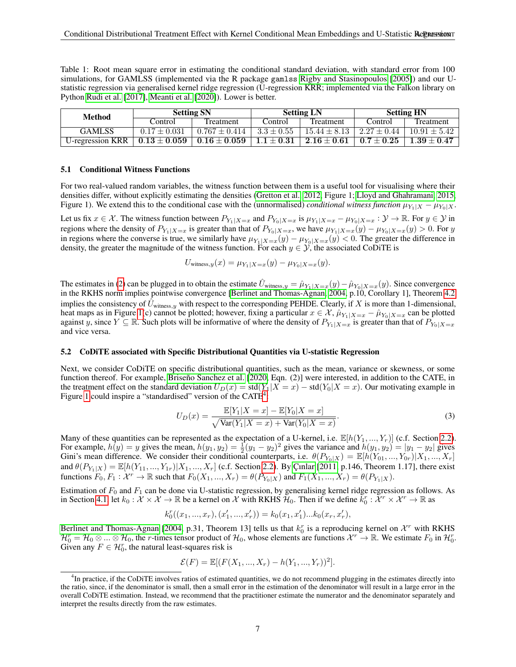<span id="page-6-3"></span>Table 1: Root mean square error in estimating the conditional standard deviation, with standard error from 100 simulations, for GAMLSS (implemented via the R package gamlss [Rigby and Stasinopoulos](#page-11-17) [\[2005\]](#page-11-17)) and our Ustatistic regression via generalised kernel ridge regression (U-regression KRR; implemented via the Falkon library on Python [Rudi et al.](#page-11-18) [\[2017\]](#page-11-18), [Meanti et al.](#page-11-19) [\[2020\]](#page-11-19)). Lower is better.

| <b>Method</b>           | <b>Setting SN</b> |                   | <b>Setting LN</b> |                  | <b>Setting HN</b> |                  |
|-------------------------|-------------------|-------------------|-------------------|------------------|-------------------|------------------|
|                         | Control           | Treatment         | Control           | Treatment        | Control           | <b>Treatment</b> |
| <b>GAMLSS</b>           | $0.17 \pm 0.031$  | $0.767 \pm 0.414$ | $3.3 \pm 0.55$    | $15.44 \pm 8.13$ | $2.27 \pm 0.44$   | $10.91 \pm 5.42$ |
| <b>U-regression KRR</b> | $0.13 \pm 0.059$  | $0.16 \pm 0.059$  | $1.1\pm0.31$      | $2.16 \pm 0.61$  | $0.7 \pm 0.25$    | $1.39 \pm 0.47$  |

#### <span id="page-6-0"></span>5.1 Conditional Witness Functions

For two real-valued random variables, the witness function between them is a useful tool for visualising where their densities differ, without explicitly estimating the densities [\(Gretton et al., 2012,](#page-10-6) Figure 1; [Lloyd and Ghahramani, 2015,](#page-11-12) Figure 1). We extend this to the conditional case with the (unnormalised) *conditional witness function*  $\mu_{Y_1|X} - \mu_{Y_0|X}$ .

Let us fix  $x \in \mathcal{X}$ . The witness function between  $P_{Y_1|X=x}$  and  $P_{Y_0|X=x}$  is  $\mu_{Y_1|X=x} - \mu_{Y_0|X=x} : \mathcal{Y} \to \mathbb{R}$ . For  $y \in \mathcal{Y}$  in regions where the density of  $P_{Y_1|X=x}$  is greater than that of  $P_{Y_0|X=x}$ , we have  $\mu_{Y_1|X=x}(y) - \mu_{Y_0|X=x}(y) > 0$ . For y in regions where the converse is true, we similarly have  $\mu_{Y_1|X=x}(y) - \mu_{Y_0|X=x}(y) < 0$ . The greater the difference in density, the greater the magnitude of the witness function. For each  $y \in \mathcal{Y}$ , the associated CoDiTE is

$$
U_{\text{witness},y}(x) = \mu_{Y_1|X=x}(y) - \mu_{Y_0|X=x}(y).
$$

The estimates in [\(2\)](#page-4-2) can be plugged in to obtain the estimate  $\hat{U}_{\text{witness},y} = \hat{\mu}_{Y_1|X=x}(y) - \hat{\mu}_{Y_0|X=x}(y)$ . Since convergence in the RKHS norm implies pointwise convergence [\[Berlinet and Thomas-Agnan, 2004,](#page-9-6) p.10, Corollary 1], Theorem [4.2](#page-4-5) implies the consistency of  $\hat{U}_{\text{witness},y}$  with respect to the corresponding PEHDE. Clearly, if X is more than 1-dimensional, heat maps as in Figure [1\(](#page-1-1)c) cannot be plotted; however, fixing a particular  $x \in \mathcal{X}$ ,  $\hat{\mu}_{Y_1|X=x} - \hat{\mu}_{Y_0|X=x}$  can be plotted against y, since  $Y \subseteq \mathbb{R}$ . Such plots will be informative of where the density of  $P_{Y_1|X=x}$  is greater than that of  $P_{Y_0|X=x}$ and vice versa.

#### <span id="page-6-1"></span>5.2 CoDiTE associated with Specific Distributional Quantities via U-statistic Regression

Next, we consider CoDiTE on specific distributional quantities, such as the mean, variance or skewness, or some function thereof. For example, Briseño Sanchez et al. [\[2020,](#page-9-1) Eqn. (2)] were interested, in addition to the CATE, in the treatment effect on the standard deviation  $U_D(x) = std(Y_1|X = x) - std(Y_0|X = x)$ . Our motivating example in Figure [1](#page-1-1) could inspire a "standardised" version of the CATE<sup>[4](#page-6-2)</sup>:

$$
U_D(x) = \frac{\mathbb{E}[Y_1|X=x] - \mathbb{E}[Y_0|X=x]}{\sqrt{\text{Var}(Y_1|X=x) + \text{Var}(Y_0|X=x)}}.
$$
\n(3)

Many of these quantities can be represented as the expectation of a U-kernel, i.e.  $\mathbb{E}[h(Y_1, ..., Y_r)]$  (c.f. Section [2.2\)](#page-3-2). For example,  $h(y) = y$  gives the mean,  $h(y_1, y_2) = \frac{1}{2}(y_1 - y_2)^2$  gives the variance and  $h(y_1, y_2) = |y_1 - y_2|$  gives Gini's mean difference. We consider their conditional counterparts, i.e.  $\theta(P_{Y_0|X}) = \mathbb{E}[h(Y_{01},...,Y_{0r})|X_1,...,X_r]$ and  $\theta(P_{Y_1|X}) = \mathbb{E}[h(Y_{11},..., Y_{1r})|X_1,...,X_r]$  (c.f. Section [2.2\)](#page-3-2). By Cinlar [\[2011,](#page-10-7) p.146, Theorem 1.17], there exist functions  $F_0, F_1 : \mathcal{X}^r \to \mathbb{R}$  such that  $F_0(X_1, ..., X_r) = \theta(P_{Y_0|X})$  and  $F_1(X_1, ..., X_r) = \theta(P_{Y_1|X})$ .

Estimation of  $F_0$  and  $F_1$  can be done via U-statistic regression, by generalising kernel ridge regression as follows. As in Section [4.1,](#page-4-6) let  $k_0 : \mathcal{X} \times \mathcal{X} \to \mathbb{R}$  be a kernel on  $\mathcal{X}$  with RKHS  $\mathcal{H}_0$ . Then if we define  $\bar{k}_0^r : \mathcal{X}^r \times \mathcal{X}^r \to \mathbb{R}$  as

$$
k_0^r((x_1, ..., x_r), (x'_1, ..., x'_r)) = k_0(x_1, x'_1)...k_0(x_r, x'_r),
$$

[Berlinet and Thomas-Agnan](#page-9-6) [\[2004,](#page-9-6) p.31, Theorem 13] tells us that  $k_0^r$  is a reproducing kernel on  $\mathcal{X}^r$  with RKHS  $\mathcal{H}_0^r = \mathcal{H}_0 \otimes ... \otimes \mathcal{H}_0$ , the *r*-times tensor product of  $\mathcal{H}_0$ , whose elements are functions  $\mathcal{X}^r \to \mathbb{R}$ . We estimate  $F_0$  in  $\mathcal{H}_0^r$ . Given any  $F \in \mathcal{H}_0^r$ , the natural least-squares risk is

$$
\mathcal{E}(F) = \mathbb{E}[(F(X_1, ..., X_r) - h(Y_1, ..., Y_r))^2].
$$

<span id="page-6-2"></span><sup>&</sup>lt;sup>4</sup>In practice, if the CoDiTE involves ratios of estimated quantities, we do not recommend plugging in the estimates directly into the ratio, since, if the denominator is small, then a small error in the estimation of the denominator will result in a large error in the overall CoDiTE estimation. Instead, we recommend that the practitioner estimate the numerator and the denominator separately and interpret the results directly from the raw estimates.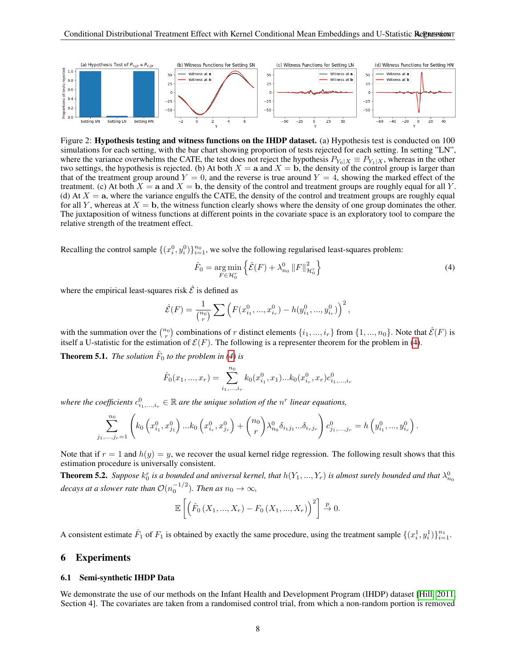

<span id="page-7-1"></span>Figure 2: Hypothesis testing and witness functions on the IHDP dataset. (a) Hypothesis test is conducted on 100 simulations for each setting, with the bar chart showing proportion of tests rejected for each setting. In setting "LN", where the variance overwhelms the CATE, the test does not reject the hypothesis  $P_{Y_0|X} \equiv P_{Y_1|X}$ , whereas in the other two settings, the hypothesis is rejected. (b) At both  $X = a$  and  $X = b$ , the density of the control group is larger than that of the treatment group around  $Y = 0$ , and the reverse is true around  $Y = 4$ , showing the marked effect of the treatment. (c) At both  $X = a$  and  $X = b$ , the density of the control and treatment groups are roughly equal for all Y. (d) At  $X = a$ , where the variance engulfs the CATE, the density of the control and treatment groups are roughly equal for all Y, whereas at  $X = b$ , the witness function clearly shows where the density of one group dominates the other. The juxtaposition of witness functions at different points in the covariate space is an exploratory tool to compare the relative strength of the treatment effect.

Recalling the control sample  $\{(x_i^0, y_i^0)\}_{i=1}^{n_0}$ , we solve the following regularised least-squares problem:

<span id="page-7-0"></span>
$$
\hat{F}_0 = \underset{F \in \mathcal{H}_0^r}{\arg \min} \left\{ \hat{\mathcal{E}}(F) + \lambda_{n_0}^0 \left\| F \right\|_{\mathcal{H}_0^r}^2 \right\} \tag{4}
$$

where the empirical least-squares risk  $\hat{\mathcal{E}}$  is defined as

$$
\hat{\mathcal{E}}(F) = \frac{1}{\binom{n_0}{r}} \sum \left( F(x_{i_1}^0, ..., x_{i_r}^0) - h(y_{i_1}^0, ..., y_{i_r}^0) \right)^2,
$$

with the summation over the  $\binom{n_0}{r}$  combinations of r distinct elements  $\{i_1, ..., i_r\}$  from  $\{1, ..., n_0\}$ . Note that  $\hat{\mathcal{E}}(F)$  is itself a U-statistic for the estimation of  $\mathcal{E}(F)$ . The following is a representer theorem for the problem in [\(4\)](#page-7-0).

**Theorem 5.1.** The solution  $\hat{F}_0$  to the problem in [\(4\)](#page-7-0) is

$$
\hat{F}_0(x_1, ..., x_r) = \sum_{i_1, ..., i_r}^{n_0} k_0(x_{i_1}^0, x_1) ... k_0(x_{i_r}^0, x_r) c_{i_1, ..., i_r}^0
$$

where the coefficients  $c_{i_1,\dots,i_r}^0 \in \mathbb{R}$  are the unique solution of the  $n^r$  linear equations,

$$
\sum_{j_1,\dots,j_r=1}^{n_0} \left( k_0 \left( x_{i_1}^0, x_{j_1}^0 \right) \dots k_0 \left( x_{i_r}^0, x_{j_r}^0 \right) + \binom{n_0}{r} \lambda_{n_0}^0 \delta_{i_1 j_1} \dots \delta_{i_r j_r} \right) c_{j_1,\dots,j_r}^0 = h \left( y_{i_1}^0, \dots, y_{i_r}^0 \right).
$$

Note that if  $r = 1$  and  $h(y) = y$ , we recover the usual kernel ridge regression. The following result shows that this estimation procedure is universally consistent.

**Theorem 5.2.** Suppose  $k_0^r$  is a bounded and universal kernel, that  $h(Y_1, ..., Y_r)$  is almost surely bounded and that  $\lambda_{n_0}^0$ decays at a slower rate than  $\mathcal{O}(n_0^{-1/2})$ . Then as  $n_0\to\infty$ ,

$$
\mathbb{E}\left[\left(\hat{F}_0\left(X_1, ..., X_r\right) - F_0\left(X_1, ..., X_r\right)\right)^2\right] \xrightarrow{p} 0.
$$

A consistent estimate  $\hat{F}_1$  of  $F_1$  is obtained by exactly the same procedure, using the treatment sample  $\{(x_i^1, y_i^1)\}_{i=1}^{n_1}$ .

# 6 Experiments

#### 6.1 Semi-synthetic IHDP Data

We demonstrate the use of our methods on the Infant Health and Development Program (IHDP) dataset [\[Hill, 2011,](#page-10-9) Section 4]. The covariates are taken from a randomised control trial, from which a non-random portion is removed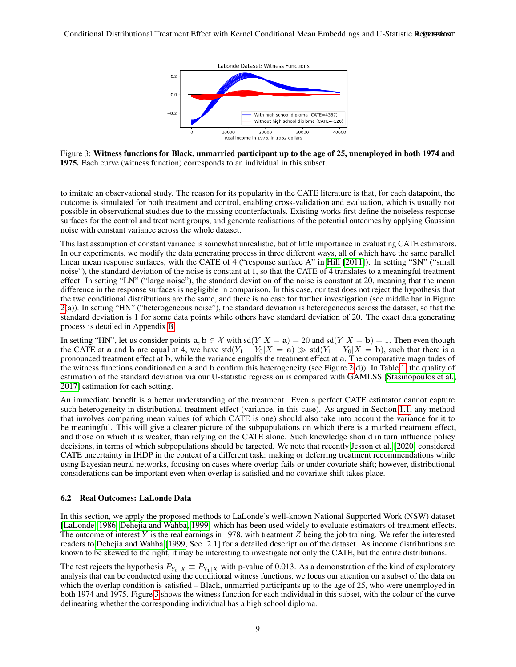

<span id="page-8-0"></span>Figure 3: Witness functions for Black, unmarried participant up to the age of 25, unemployed in both 1974 and 1975. Each curve (witness function) corresponds to an individual in this subset.

to imitate an observational study. The reason for its popularity in the CATE literature is that, for each datapoint, the outcome is simulated for both treatment and control, enabling cross-validation and evaluation, which is usually not possible in observational studies due to the missing counterfactuals. Existing works first define the noiseless response surfaces for the control and treatment groups, and generate realisations of the potential outcomes by applying Gaussian noise with constant variance across the whole dataset.

This last assumption of constant variance is somewhat unrealistic, but of little importance in evaluating CATE estimators. In our experiments, we modify the data generating process in three different ways, all of which have the same parallel linear mean response surfaces, with the CATE of 4 ("response surface A" in [Hill](#page-10-9) [\[2011\]](#page-10-9)). In setting "SN" ("small noise"), the standard deviation of the noise is constant at 1, so that the CATE of 4 translates to a meaningful treatment effect. In setting "LN" ("large noise"), the standard deviation of the noise is constant at 20, meaning that the mean difference in the response surfaces is negligible in comparison. In this case, our test does not reject the hypothesis that the two conditional distributions are the same, and there is no case for further investigation (see middle bar in Figure [2\(](#page-7-1)a)). In setting "HN" ("heterogeneous noise"), the standard deviation is heterogeneous across the dataset, so that the standard deviation is 1 for some data points while others have standard deviation of 20. The exact data generating process is detailed in Appendix [B.](#page-16-1)

In setting "HN", let us consider points  $a, b \in \mathcal{X}$  with sd( $Y|X = a$ ) = 20 and sd( $Y|X = b$ ) = 1. Then even though the CATE at a and b are equal at 4, we have  $std(Y_1 - Y_0|X = a) \gg std(Y_1 - Y_0|X = b)$ , such that there is a pronounced treatment effect at b, while the variance engulfs the treatment effect at a. The comparative magnitudes of the witness functions conditioned on a and b confirm this heterogeneity (see Figure [2\(](#page-7-1)d)). In Table [1,](#page-6-3) the quality of estimation of the standard deviation via our U-statistic regression is compared with GAMLSS [\[Stasinopoulos et al.,](#page-12-8) [2017\]](#page-12-8) estimation for each setting.

An immediate benefit is a better understanding of the treatment. Even a perfect CATE estimator cannot capture such heterogeneity in distributional treatment effect (variance, in this case). As argued in Section [1.1,](#page-1-0) any method that involves comparing mean values (of which CATE is one) should also take into account the variance for it to be meaningful. This will give a clearer picture of the subpopulations on which there is a marked treatment effect, and those on which it is weaker, than relying on the CATE alone. Such knowledge should in turn influence policy decisions, in terms of which subpopulations should be targeted. We note that recently [Jesson et al.](#page-10-21) [\[2020\]](#page-10-21) considered CATE uncertainty in IHDP in the context of a different task: making or deferring treatment recommendations while using Bayesian neural networks, focusing on cases where overlap fails or under covariate shift; however, distributional considerations can be important even when overlap is satisfied and no covariate shift takes place.

#### 6.2 Real Outcomes: LaLonde Data

In this section, we apply the proposed methods to LaLonde's well-known National Supported Work (NSW) dataset [\[LaLonde, 1986,](#page-11-20) [Dehejia and Wahba, 1999\]](#page-10-22) which has been used widely to evaluate estimators of treatment effects. The outcome of interest Y is the real earnings in 1978, with treatment  $Z$  being the job training. We refer the interested readers to [Dehejia and Wahba](#page-10-22) [\[1999,](#page-10-22) Sec. 2.1] for a detailed description of the dataset. As income distributions are known to be skewed to the right, it may be interesting to investigate not only the CATE, but the entire distributions.

The test rejects the hypothesis  $P_{Y_0|X} \equiv P_{Y_1|X}$  with p-value of 0.013. As a demonstration of the kind of exploratory analysis that can be conducted using the conditional witness functions, we focus our attention on a subset of the data on which the overlap condition is satisfied – Black, unmarried participants up to the age of 25, who were unemployed in both 1974 and 1975. Figure [3](#page-8-0) shows the witness function for each individual in this subset, with the colour of the curve delineating whether the corresponding individual has a high school diploma.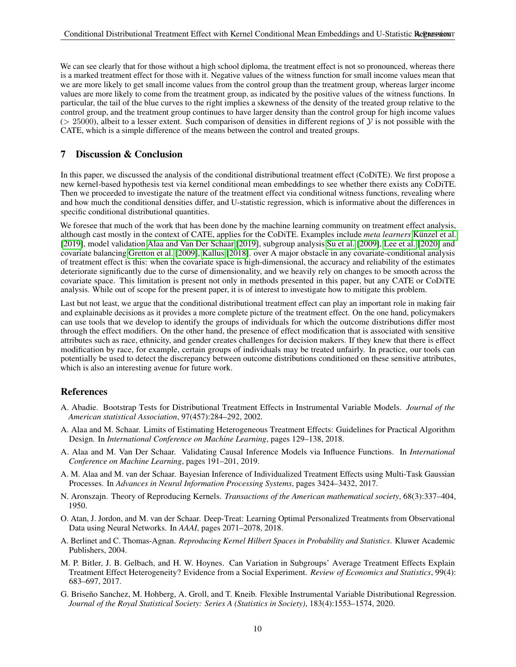We can see clearly that for those without a high school diploma, the treatment effect is not so pronounced, whereas there is a marked treatment effect for those with it. Negative values of the witness function for small income values mean that we are more likely to get small income values from the control group than the treatment group, whereas larger income values are more likely to come from the treatment group, as indicated by the positive values of the witness functions. In particular, the tail of the blue curves to the right implies a skewness of the density of the treated group relative to the control group, and the treatment group continues to have larger density than the control group for high income values ( $> 25000$ ), albeit to a lesser extent. Such comparison of densities in different regions of  $\mathcal{Y}$  is not possible with the CATE, which is a simple difference of the means between the control and treated groups.

# 7 Discussion & Conclusion

In this paper, we discussed the analysis of the conditional distributional treatment effect (CoDiTE). We first propose a new kernel-based hypothesis test via kernel conditional mean embeddings to see whether there exists any CoDiTE. Then we proceeded to investigate the nature of the treatment effect via conditional witness functions, revealing where and how much the conditional densities differ, and U-statistic regression, which is informative about the differences in specific conditional distributional quantities.

We foresee that much of the work that has been done by the machine learning community on treatment effect analysis, although cast mostly in the context of CATE, applies for the CoDiTE. Examples include *meta learners* [Kunzel et al.](#page-11-0) ¨ [\[2019\]](#page-11-0), model validation [Alaa and Van Der Schaar](#page-9-7) [\[2019\]](#page-9-7), subgroup analysis [Su et al.](#page-12-14) [\[2009\]](#page-12-14), [Lee et al.](#page-11-21) [\[2020\]](#page-11-21) and covariate balancing [Gretton et al.](#page-10-23) [\[2009\]](#page-10-23), [Kallus](#page-11-22) [\[2018\]](#page-11-22). over A major obstacle in any covariate-conditional analysis of treatment effect is this: when the covariate space is high-dimensional, the accuracy and reliability of the estimates deteriorate significantly due to the curse of dimensionality, and we heavily rely on changes to be smooth across the covariate space. This limitation is present not only in methods presented in this paper, but any CATE or CoDiTE analysis. While out of scope for the present paper, it is of interest to investigate how to mitigate this problem.

Last but not least, we argue that the conditional distributional treatment effect can play an important role in making fair and explainable decisions as it provides a more complete picture of the treatment effect. On the one hand, policymakers can use tools that we develop to identify the groups of individuals for which the outcome distributions differ most through the effect modifiers. On the other hand, the presence of effect modification that is associated with sensitive attributes such as race, ethnicity, and gender creates challenges for decision makers. If they knew that there is effect modification by race, for example, certain groups of individuals may be treated unfairly. In practice, our tools can potentially be used to detect the discrepancy between outcome distributions conditioned on these sensitive attributes, which is also an interesting avenue for future work.

# **References**

- <span id="page-9-5"></span>A. Abadie. Bootstrap Tests for Distributional Treatment Effects in Instrumental Variable Models. *Journal of the American statistical Association*, 97(457):284–292, 2002.
- <span id="page-9-3"></span>A. Alaa and M. Schaar. Limits of Estimating Heterogeneous Treatment Effects: Guidelines for Practical Algorithm Design. In *International Conference on Machine Learning*, pages 129–138, 2018.
- <span id="page-9-7"></span>A. Alaa and M. Van Der Schaar. Validating Causal Inference Models via Influence Functions. In *International Conference on Machine Learning*, pages 191–201, 2019.
- <span id="page-9-2"></span>A. M. Alaa and M. van der Schaar. Bayesian Inference of Individualized Treatment Effects using Multi-Task Gaussian Processes. In *Advances in Neural Information Processing Systems*, pages 3424–3432, 2017.
- <span id="page-9-8"></span>N. Aronszajn. Theory of Reproducing Kernels. *Transactions of the American mathematical society*, 68(3):337–404, 1950.
- <span id="page-9-4"></span>O. Atan, J. Jordon, and M. van der Schaar. Deep-Treat: Learning Optimal Personalized Treatments from Observational Data using Neural Networks. In *AAAI*, pages 2071–2078, 2018.
- <span id="page-9-6"></span>A. Berlinet and C. Thomas-Agnan. *Reproducing Kernel Hilbert Spaces in Probability and Statistics*. Kluwer Academic Publishers, 2004.
- <span id="page-9-0"></span>M. P. Bitler, J. B. Gelbach, and H. W. Hoynes. Can Variation in Subgroups' Average Treatment Effects Explain Treatment Effect Heterogeneity? Evidence from a Social Experiment. *Review of Economics and Statistics*, 99(4): 683–697, 2017.
- <span id="page-9-1"></span>G. Briseño Sanchez, M. Hohberg, A. Groll, and T. Kneib. Flexible Instrumental Variable Distributional Regression. *Journal of the Royal Statistical Society: Series A (Statistics in Society)*, 183(4):1553–1574, 2020.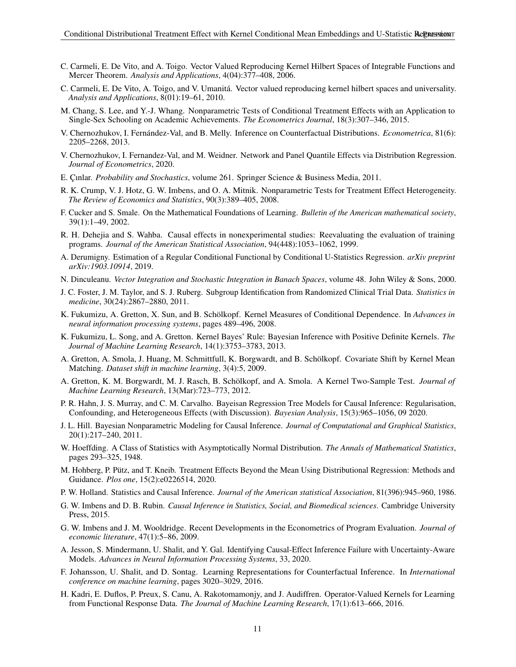- <span id="page-10-15"></span>C. Carmeli, E. De Vito, and A. Toigo. Vector Valued Reproducing Kernel Hilbert Spaces of Integrable Functions and Mercer Theorem. *Analysis and Applications*, 4(04):377–408, 2006.
- <span id="page-10-20"></span>C. Carmeli, E. De Vito, A. Toigo, and V. Umanita. Vector valued reproducing kernel hilbert spaces and universality. ´ *Analysis and Applications*, 8(01):19–61, 2010.
- <span id="page-10-3"></span>M. Chang, S. Lee, and Y.-J. Whang. Nonparametric Tests of Conditional Treatment Effects with an Application to Single-Sex Schooling on Academic Achievements. *The Econometrics Journal*, 18(3):307–346, 2015.
- <span id="page-10-12"></span>V. Chernozhukov, I. Fernández-Val, and B. Melly. Inference on Counterfactual Distributions. *Econometrica*, 81(6): 2205–2268, 2013.
- <span id="page-10-4"></span>V. Chernozhukov, I. Fernandez-Val, and M. Weidner. Network and Panel Quantile Effects via Distribution Regression. *Journal of Econometrics*, 2020.
- <span id="page-10-7"></span>E. Cinlar. *Probability and Stochastics*, volume 261. Springer Science & Business Media, 2011.
- <span id="page-10-13"></span>R. K. Crump, V. J. Hotz, G. W. Imbens, and O. A. Mitnik. Nonparametric Tests for Treatment Effect Heterogeneity. *The Review of Economics and Statistics*, 90(3):389–405, 2008.
- <span id="page-10-25"></span>F. Cucker and S. Smale. On the Mathematical Foundations of Learning. *Bulletin of the American mathematical society*, 39(1):1–49, 2002.
- <span id="page-10-22"></span>R. H. Dehejia and S. Wahba. Causal effects in nonexperimental studies: Reevaluating the evaluation of training programs. *Journal of the American Statistical Association*, 94(448):1053–1062, 1999.
- <span id="page-10-17"></span>A. Derumigny. Estimation of a Regular Conditional Functional by Conditional U-Statistics Regression. *arXiv preprint arXiv:1903.10914*, 2019.
- <span id="page-10-24"></span>N. Dinculeanu. *Vector Integration and Stochastic Integration in Banach Spaces*, volume 48. John Wiley & Sons, 2000.
- <span id="page-10-1"></span>J. C. Foster, J. M. Taylor, and S. J. Ruberg. Subgroup Identification from Randomized Clinical Trial Data. *Statistics in medicine*, 30(24):2867–2880, 2011.
- <span id="page-10-14"></span>K. Fukumizu, A. Gretton, X. Sun, and B. Schölkopf. Kernel Measures of Conditional Dependence. In *Advances in neural information processing systems*, pages 489–496, 2008.
- <span id="page-10-18"></span>K. Fukumizu, L. Song, and A. Gretton. Kernel Bayes' Rule: Bayesian Inference with Positive Definite Kernels. *The Journal of Machine Learning Research*, 14(1):3753–3783, 2013.
- <span id="page-10-23"></span>A. Gretton, A. Smola, J. Huang, M. Schmittfull, K. Borgwardt, and B. Scholkopf. Covariate Shift by Kernel Mean ¨ Matching. *Dataset shift in machine learning*, 3(4):5, 2009.
- <span id="page-10-6"></span>A. Gretton, K. M. Borgwardt, M. J. Rasch, B. Schölkopf, and A. Smola. A Kernel Two-Sample Test. *Journal of Machine Learning Research*, 13(Mar):723–773, 2012.
- <span id="page-10-10"></span>P. R. Hahn, J. S. Murray, and C. M. Carvalho. Bayeisan Regression Tree Models for Causal Inference: Regularisation, Confounding, and Heterogeneous Effects (with Discussion). *Bayesian Analysis*, 15(3):965–1056, 09 2020.
- <span id="page-10-9"></span>J. L. Hill. Bayesian Nonparametric Modeling for Causal Inference. *Journal of Computational and Graphical Statistics*, 20(1):217–240, 2011.
- <span id="page-10-16"></span>W. Hoeffding. A Class of Statistics with Asymptotically Normal Distribution. *The Annals of Mathematical Statistics*, pages 293–325, 1948.
- <span id="page-10-5"></span>M. Hohberg, P. Putz, and T. Kneib. Treatment Effects Beyond the Mean Using Distributional Regression: Methods and ¨ Guidance. *Plos one*, 15(2):e0226514, 2020.
- <span id="page-10-8"></span>P. W. Holland. Statistics and Causal Inference. *Journal of the American statistical Association*, 81(396):945–960, 1986.
- <span id="page-10-2"></span>G. W. Imbens and D. B. Rubin. *Causal Inference in Statistics, Social, and Biomedical sciences*. Cambridge University Press, 2015.
- <span id="page-10-0"></span>G. W. Imbens and J. M. Wooldridge. Recent Developments in the Econometrics of Program Evaluation. *Journal of economic literature*, 47(1):5–86, 2009.
- <span id="page-10-21"></span>A. Jesson, S. Mindermann, U. Shalit, and Y. Gal. Identifying Causal-Effect Inference Failure with Uncertainty-Aware Models. *Advances in Neural Information Processing Systems*, 33, 2020.
- <span id="page-10-11"></span>F. Johansson, U. Shalit, and D. Sontag. Learning Representations for Counterfactual Inference. In *International conference on machine learning*, pages 3020–3029, 2016.
- <span id="page-10-19"></span>H. Kadri, E. Duflos, P. Preux, S. Canu, A. Rakotomamonjy, and J. Audiffren. Operator-Valued Kernels for Learning from Functional Response Data. *The Journal of Machine Learning Research*, 17(1):613–666, 2016.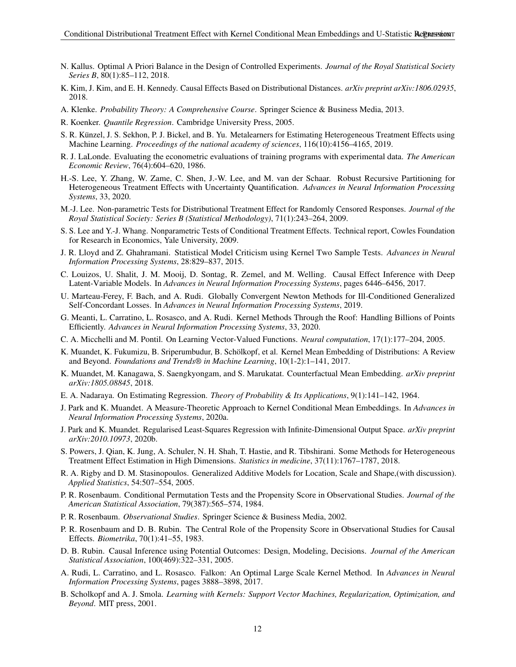- <span id="page-11-22"></span>N. Kallus. Optimal A Priori Balance in the Design of Controlled Experiments. *Journal of the Royal Statistical Society Series B*, 80(1):85–112, 2018.
- <span id="page-11-7"></span>K. Kim, J. Kim, and E. H. Kennedy. Causal Effects Based on Distributional Distances. *arXiv preprint arXiv:1806.02935*, 2018.
- <span id="page-11-26"></span>A. Klenke. *Probability Theory: A Comprehensive Course*. Springer Science & Business Media, 2013.
- <span id="page-11-9"></span>R. Koenker. *Quantile Regression*. Cambridge University Press, 2005.
- <span id="page-11-0"></span>S. R. Künzel, J. S. Sekhon, P. J. Bickel, and B. Yu. Metalearners for Estimating Heterogeneous Treatment Effects using Machine Learning. *Proceedings of the national academy of sciences*, 116(10):4156–4165, 2019.
- <span id="page-11-20"></span>R. J. LaLonde. Evaluating the econometric evaluations of training programs with experimental data. *The American Economic Review*, 76(4):604–620, 1986.
- <span id="page-11-21"></span>H.-S. Lee, Y. Zhang, W. Zame, C. Shen, J.-W. Lee, and M. van der Schaar. Robust Recursive Partitioning for Heterogeneous Treatment Effects with Uncertainty Quantification. *Advances in Neural Information Processing Systems*, 33, 2020.
- <span id="page-11-11"></span>M.-J. Lee. Non-parametric Tests for Distributional Treatment Effect for Randomly Censored Responses. *Journal of the Royal Statistical Society: Series B (Statistical Methodology)*, 71(1):243–264, 2009.
- <span id="page-11-10"></span>S. S. Lee and Y.-J. Whang. Nonparametric Tests of Conditional Treatment Effects. Technical report, Cowles Foundation for Research in Economics, Yale University, 2009.
- <span id="page-11-12"></span>J. R. Lloyd and Z. Ghahramani. Statistical Model Criticism using Kernel Two Sample Tests. *Advances in Neural Information Processing Systems*, 28:829–837, 2015.
- <span id="page-11-5"></span>C. Louizos, U. Shalit, J. M. Mooij, D. Sontag, R. Zemel, and M. Welling. Causal Effect Inference with Deep Latent-Variable Models. In *Advances in Neural Information Processing Systems*, pages 6446–6456, 2017.
- <span id="page-11-16"></span>U. Marteau-Ferey, F. Bach, and A. Rudi. Globally Convergent Newton Methods for Ill-Conditioned Generalized Self-Concordant Losses. In *Advances in Neural Information Processing Systems*, 2019.
- <span id="page-11-19"></span>G. Meanti, L. Carratino, L. Rosasco, and A. Rudi. Kernel Methods Through the Roof: Handling Billions of Points Efficiently. *Advances in Neural Information Processing Systems*, 33, 2020.
- <span id="page-11-14"></span>C. A. Micchelli and M. Pontil. On Learning Vector-Valued Functions. *Neural computation*, 17(1):177–204, 2005.
- <span id="page-11-23"></span>K. Muandet, K. Fukumizu, B. Sriperumbudur, B. Schölkopf, et al. Kernel Mean Embedding of Distributions: A Review and Beyond. *Foundations and Trends® in Machine Learning*, 10(1-2):1–141, 2017.
- <span id="page-11-8"></span>K. Muandet, M. Kanagawa, S. Saengkyongam, and S. Marukatat. Counterfactual Mean Embedding. *arXiv preprint arXiv:1805.08845*, 2018.
- <span id="page-11-13"></span>E. A. Nadaraya. On Estimating Regression. *Theory of Probability & Its Applications*, 9(1):141–142, 1964.
- <span id="page-11-3"></span>J. Park and K. Muandet. A Measure-Theoretic Approach to Kernel Conditional Mean Embeddings. In *Advances in Neural Information Processing Systems*, 2020a.
- <span id="page-11-25"></span>J. Park and K. Muandet. Regularised Least-Squares Regression with Infinite-Dimensional Output Space. *arXiv preprint arXiv:2010.10973*, 2020b.
- <span id="page-11-6"></span>S. Powers, J. Qian, K. Jung, A. Schuler, N. H. Shah, T. Hastie, and R. Tibshirani. Some Methods for Heterogeneous Treatment Effect Estimation in High Dimensions. *Statistics in medicine*, 37(11):1767–1787, 2018.
- <span id="page-11-17"></span>R. A. Rigby and D. M. Stasinopoulos. Generalized Additive Models for Location, Scale and Shape,(with discussion). *Applied Statistics*, 54:507–554, 2005.
- <span id="page-11-15"></span>P. R. Rosenbaum. Conditional Permutation Tests and the Propensity Score in Observational Studies. *Journal of the American Statistical Association*, 79(387):565–574, 1984.
- <span id="page-11-1"></span>P. R. Rosenbaum. *Observational Studies*. Springer Science & Business Media, 2002.
- <span id="page-11-4"></span>P. R. Rosenbaum and D. B. Rubin. The Central Role of the Propensity Score in Observational Studies for Causal Effects. *Biometrika*, 70(1):41–55, 1983.
- <span id="page-11-2"></span>D. B. Rubin. Causal Inference using Potential Outcomes: Design, Modeling, Decisions. *Journal of the American Statistical Association*, 100(469):322–331, 2005.
- <span id="page-11-18"></span>A. Rudi, L. Carratino, and L. Rosasco. Falkon: An Optimal Large Scale Kernel Method. In *Advances in Neural Information Processing Systems*, pages 3888–3898, 2017.
- <span id="page-11-24"></span>B. Scholkopf and A. J. Smola. *Learning with Kernels: Support Vector Machines, Regularization, Optimization, and Beyond*. MIT press, 2001.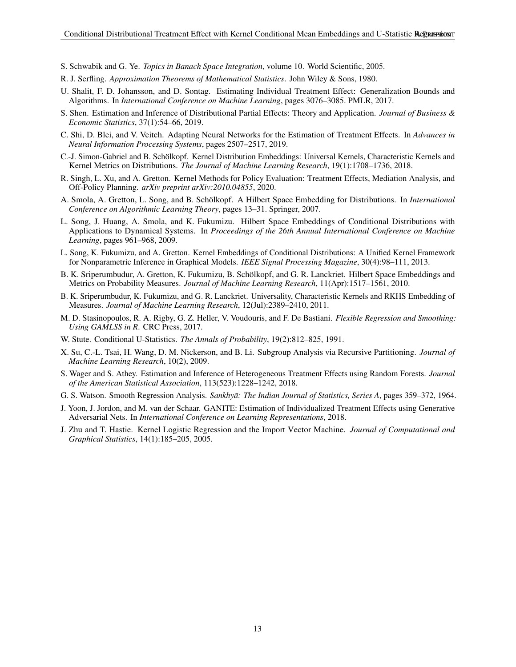- <span id="page-12-15"></span>S. Schwabik and G. Ye. *Topics in Banach Space Integration*, volume 10. World Scientific, 2005.
- <span id="page-12-10"></span>R. J. Serfling. *Approximation Theorems of Mathematical Statistics*. John Wiley & Sons, 1980.
- <span id="page-12-3"></span>U. Shalit, F. D. Johansson, and D. Sontag. Estimating Individual Treatment Effect: Generalization Bounds and Algorithms. In *International Conference on Machine Learning*, pages 3076–3085. PMLR, 2017.
- <span id="page-12-0"></span>S. Shen. Estimation and Inference of Distributional Partial Effects: Theory and Application. *Journal of Business & Economic Statistics*, 37(1):54–66, 2019.
- <span id="page-12-4"></span>C. Shi, D. Blei, and V. Veitch. Adapting Neural Networks for the Estimation of Treatment Effects. In *Advances in Neural Information Processing Systems*, pages 2507–2517, 2019.
- <span id="page-12-18"></span>C.-J. Simon-Gabriel and B. Scholkopf. Kernel Distribution Embeddings: Universal Kernels, Characteristic Kernels and ¨ Kernel Metrics on Distributions. *The Journal of Machine Learning Research*, 19(1):1708–1736, 2018.
- <span id="page-12-6"></span>R. Singh, L. Xu, and A. Gretton. Kernel Methods for Policy Evaluation: Treatment Effects, Mediation Analysis, and Off-Policy Planning. *arXiv preprint arXiv:2010.04855*, 2020.
- <span id="page-12-9"></span>A. Smola, A. Gretton, L. Song, and B. Schölkopf. A Hilbert Space Embedding for Distributions. In *International Conference on Algorithmic Learning Theory*, pages 13–31. Springer, 2007.
- <span id="page-12-12"></span>L. Song, J. Huang, A. Smola, and K. Fukumizu. Hilbert Space Embeddings of Conditional Distributions with Applications to Dynamical Systems. In *Proceedings of the 26th Annual International Conference on Machine Learning*, pages 961–968, 2009.
- <span id="page-12-1"></span>L. Song, K. Fukumizu, and A. Gretton. Kernel Embeddings of Conditional Distributions: A Unified Kernel Framework for Nonparametric Inference in Graphical Models. *IEEE Signal Processing Magazine*, 30(4):98–111, 2013.
- <span id="page-12-16"></span>B. K. Sriperumbudur, A. Gretton, K. Fukumizu, B. Schölkopf, and G. R. Lanckriet. Hilbert Space Embeddings and Metrics on Probability Measures. *Journal of Machine Learning Research*, 11(Apr):1517–1561, 2010.
- <span id="page-12-17"></span>B. K. Sriperumbudur, K. Fukumizu, and G. R. Lanckriet. Universality, Characteristic Kernels and RKHS Embedding of Measures. *Journal of Machine Learning Research*, 12(Jul):2389–2410, 2011.
- <span id="page-12-8"></span>M. D. Stasinopoulos, R. A. Rigby, G. Z. Heller, V. Voudouris, and F. De Bastiani. *Flexible Regression and Smoothing: Using GAMLSS in R*. CRC Press, 2017.
- <span id="page-12-7"></span>W. Stute. Conditional U-Statistics. *The Annals of Probability*, 19(2):812–825, 1991.
- <span id="page-12-14"></span>X. Su, C.-L. Tsai, H. Wang, D. M. Nickerson, and B. Li. Subgroup Analysis via Recursive Partitioning. *Journal of Machine Learning Research*, 10(2), 2009.
- <span id="page-12-2"></span>S. Wager and S. Athey. Estimation and Inference of Heterogeneous Treatment Effects using Random Forests. *Journal of the American Statistical Association*, 113(523):1228–1242, 2018.
- <span id="page-12-11"></span>G. S. Watson. Smooth Regression Analysis. *Sankhyā: The Indian Journal of Statistics, Series A*, pages 359–372, 1964.
- <span id="page-12-5"></span>J. Yoon, J. Jordon, and M. van der Schaar. GANITE: Estimation of Individualized Treatment Effects using Generative Adversarial Nets. In *International Conference on Learning Representations*, 2018.
- <span id="page-12-13"></span>J. Zhu and T. Hastie. Kernel Logistic Regression and the Import Vector Machine. *Journal of Computational and Graphical Statistics*, 14(1):185–205, 2005.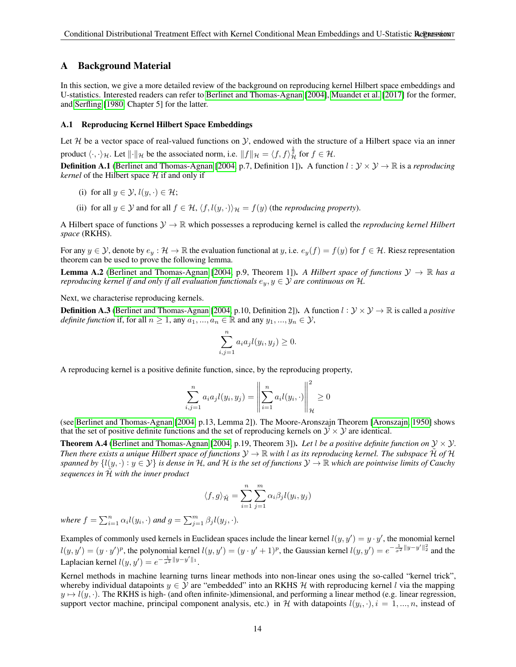# <span id="page-13-0"></span>A Background Material

In this section, we give a more detailed review of the background on reproducing kernel Hilbert space embeddings and U-statistics. Interested readers can refer to [Berlinet and Thomas-Agnan](#page-9-6) [\[2004\]](#page-9-6), [Muandet et al.](#page-11-23) [\[2017\]](#page-11-23) for the former, and [Serfling](#page-12-10) [\[1980,](#page-12-10) Chapter 5] for the latter.

#### A.1 Reproducing Kernel Hilbert Space Embeddings

Let  $H$  be a vector space of real-valued functions on  $Y$ , endowed with the structure of a Hilbert space via an inner product  $\langle \cdot, \cdot \rangle_{\mathcal{H}}$ . Let  $\|\cdot\|_{\mathcal{H}}$  be the associated norm, i.e.  $\|f\|_{\mathcal{H}} = \langle f, f \rangle_{\mathcal{H}}^{\frac{1}{2}}$  for  $f \in \mathcal{H}$ .

**Definition A.1** [\(Berlinet and Thomas-Agnan](#page-9-6) [\[2004,](#page-9-6) p.7, Definition 1]). A function  $l : \mathcal{Y} \times \mathcal{Y} \rightarrow \mathbb{R}$  is a *reproducing kernel* of the Hilbert space  $H$  if and only if

- (i) for all  $y \in \mathcal{Y}$ ,  $l(y, \cdot) \in \mathcal{H}$ ;
- (ii) for all  $y \in Y$  and for all  $f \in \mathcal{H}$ ,  $\langle f, l(y, \cdot) \rangle_{\mathcal{H}} = f(y)$  (the *reproducing property*).

A Hilbert space of functions  $\mathcal{Y} \to \mathbb{R}$  which possesses a reproducing kernel is called the *reproducing kernel Hilbert space* (RKHS).

For any  $y \in \mathcal{Y}$ , denote by  $e_y : \mathcal{H} \to \mathbb{R}$  the evaluation functional at y, i.e.  $e_y(f) = f(y)$  for  $f \in \mathcal{H}$ . Riesz representation theorem can be used to prove the following lemma.

**Lemma A.2** [\(Berlinet and Thomas-Agnan](#page-9-6) [\[2004,](#page-9-6) p.9, Theorem 1]). A Hilbert space of functions  $\mathcal{Y} \to \mathbb{R}$  has a *reproducing kernel if and only if all evaluation functionals*  $e_y, y \in \mathcal{Y}$  *are continuous on*  $\mathcal{H}$ *.* 

Next, we characterise reproducing kernels.

**Definition A.3** [\(Berlinet and Thomas-Agnan](#page-9-6) [\[2004,](#page-9-6) p.10, Definition 2]). A function  $l : \mathcal{Y} \times \mathcal{Y} \to \mathbb{R}$  is called a *positive definite function* if, for all  $n \geq 1$ , any  $a_1, ..., a_n \in \mathbb{R}$  and any  $y_1, ..., y_n \in \mathcal{Y}$ ,

$$
\sum_{i,j=1}^{n} a_i a_j l(y_i, y_j) \ge 0.
$$

A reproducing kernel is a positive definite function, since, by the reproducing property,

$$
\sum_{i,j=1}^{n} a_i a_j l(y_i, y_j) = \left\| \sum_{i=1}^{n} a_i l(y_i, \cdot) \right\|_{\mathcal{H}}^2 \ge 0
$$

(see [Berlinet and Thomas-Agnan](#page-9-6) [\[2004,](#page-9-6) p.13, Lemma 2]). The Moore-Aronszajn Theorem [\[Aronszajn, 1950\]](#page-9-8) shows that the set of positive definite functions and the set of reproducing kernels on  $\mathcal{Y} \times \mathcal{Y}$  are identical.

**Theorem A.4** [\(Berlinet and Thomas-Agnan](#page-9-6) [\[2004,](#page-9-6) p.19, Theorem 3]). Let l be a positive definite function on  $\mathcal{Y} \times \mathcal{Y}$ . *Then there exists a unique Hilbert space of functions*  $\mathcal{Y} \to \mathbb{R}$  *with* l *as its reproducing kernel. The subspace*  $\tilde{\mathcal{H}}$  of  $\mathcal{H}$ *spanned by*  $\{l(y, \cdot): y \in Y\}$  *is dense in* H, and H *is the set of functions*  $Y \to \mathbb{R}$  *which are pointwise limits of Cauchy sequences in* H˜ *with the inner product*

$$
\langle f, g \rangle_{\tilde{\mathcal{H}}} = \sum_{i=1}^{n} \sum_{j=1}^{m} \alpha_i \beta_j l(y_i, y_j)
$$

*where*  $f = \sum_{i=1}^{n} \alpha_i l(y_i, \cdot)$  *and*  $g = \sum_{j=1}^{m} \beta_j l(y_j, \cdot)$ *.* 

Examples of commonly used kernels in Euclidean spaces include the linear kernel  $l(y, y') = y \cdot y'$ , the monomial kernel  $l(y, y') = (y \cdot y')^p$ , the polynomial kernel  $l(y, y') = (y \cdot y' + 1)^p$ , the Gaussian kernel  $l(y, y') = e^{-\frac{1}{\sigma^2}||y - y'||_2^2}$  and the Laplacian kernel  $l(y, y') = e^{-\frac{1}{\sigma^2}||y - y'||_1}$ .

Kernel methods in machine learning turns linear methods into non-linear ones using the so-called "kernel trick", whereby individual datapoints  $y \in Y$  are "embedded" into an RKHS H with reproducing kernel l via the mapping  $y \mapsto l(y, \cdot)$ . The RKHS is high- (and often infinite-)dimensional, and performing a linear method (e.g. linear regression, support vector machine, principal component analysis, etc.) in H with datapoints  $l(y_i, \cdot), i = 1, ..., n$ , instead of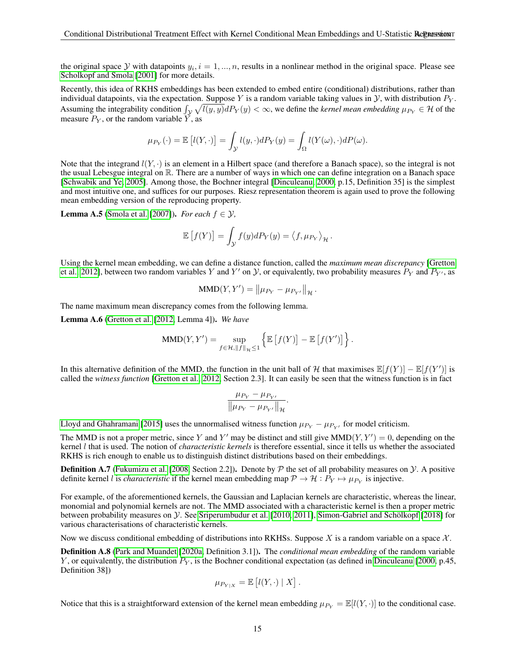the original space  $Y$  with datapoints  $y_i$ ,  $i = 1, ..., n$ , results in a nonlinear method in the original space. Please see [Scholkopf and Smola](#page-11-24) [\[2001\]](#page-11-24) for more details.

Recently, this idea of RKHS embeddings has been extended to embed entire (conditional) distributions, rather than individual datapoints, via the expectation. Suppose Y is a random variable taking values in  $\mathcal{Y}$ , with distribution  $P_Y$ . Assuming the integrability condition  $\int_{\mathcal{Y}} \sqrt{l(y, y)} dP_Y(y) < \infty$ , we define the *kernel mean embedding*  $\mu_{P_Y} \in \mathcal{H}$  of the measure  $P_Y$ , or the random variable  $\check{Y}$ , as

$$
\mu_{P_Y}(\cdot) = \mathbb{E}\left[l(Y,\cdot)\right] = \int_{\mathcal{Y}} l(y,\cdot)dP_Y(y) = \int_{\Omega} l(Y(\omega),\cdot)dP(\omega).
$$

Note that the integrand  $l(Y, \cdot)$  is an element in a Hilbert space (and therefore a Banach space), so the integral is not the usual Lebesgue integral on R. There are a number of ways in which one can define integration on a Banach space [\[Schwabik and Ye, 2005\]](#page-12-15). Among those, the Bochner integral [\[Dinculeanu, 2000,](#page-10-24) p.15, Definition 35] is the simplest and most intuitive one, and suffices for our purposes. Riesz representation theorem is again used to prove the following mean embedding version of the reproducing property.

**Lemma A.5** [\(Smola et al.](#page-12-9) [\[2007\]](#page-12-9)). *For each*  $f \in \mathcal{Y}$ ,

$$
\mathbb{E}\left[f(Y)\right] = \int_{\mathcal{Y}} f(y) dP_Y(y) = \langle f, \mu_{P_Y} \rangle_{\mathcal{H}}.
$$

Using the kernel mean embedding, we can define a distance function, called the *maximum mean discrepancy* [\[Gretton](#page-10-6) [et al., 2012\]](#page-10-6), between two random variables Y and Y' on Y, or equivalently, two probability measures  $P_Y$  and  $P_{Y'}$ , as

$$
MMD(Y, Y') = ||\mu_{P_Y} - \mu_{P_{Y'}}||_{\mathcal{H}}.
$$

The name maximum mean discrepancy comes from the following lemma.

Lemma A.6 [\(Gretton et al.](#page-10-6) [\[2012,](#page-10-6) Lemma 4]). *We have*

$$
\text{MMD}(Y, Y') = \sup_{f \in \mathcal{H}, ||f||_{\mathcal{H}} \leq 1} \left\{ \mathbb{E}\left[f(Y)\right] - \mathbb{E}\left[f(Y')\right] \right\}.
$$

In this alternative definition of the MMD, the function in the unit ball of H that maximises  $\mathbb{E}[f(Y)] - \mathbb{E}[f(Y')]$  is called the *witness function* [\[Gretton et al., 2012,](#page-10-6) Section 2.3]. It can easily be seen that the witness function is in fact

$$
\frac{\mu_{P_Y}-\mu_{P_{Y'}}}{\left\|\mu_{P_Y}-\mu_{P_{Y'}}\right\|_{\mathcal{H}}}.
$$

[Lloyd and Ghahramani](#page-11-12) [\[2015\]](#page-11-12) uses the unnormalised witness function  $\mu_{P_Y} - \mu_{P_{Y'}}$  for model criticism.

The MMD is not a proper metric, since Y and Y' may be distinct and still give  $MMD(Y, Y') = 0$ , depending on the kernel l that is used. The notion of *characteristic kernels* is therefore essential, since it tells us whether the associated RKHS is rich enough to enable us to distinguish distinct distributions based on their embeddings.

**Definition A.7** [\(Fukumizu et al.](#page-10-14) [\[2008,](#page-10-14) Section 2.2]). Denote by  $P$  the set of all probability measures on  $Y$ . A positive definite kernel *l* is *characteristic* if the kernel mean embedding map  $P \to H : P_Y \mapsto \mu_{P_Y}$  is injective.

For example, of the aforementioned kernels, the Gaussian and Laplacian kernels are characteristic, whereas the linear, monomial and polynomial kernels are not. The MMD associated with a characteristic kernel is then a proper metric between probability measures on Y. See [Sriperumbudur et al.](#page-12-16) [\[2010,](#page-12-16) [2011\]](#page-12-17), Simon-Gabriel and Schölkopf [\[2018\]](#page-12-18) for various characterisations of characteristic kernels.

Now we discuss conditional embedding of distributions into RKHSs. Suppose X is a random variable on a space  $\mathcal{X}$ .

Definition A.8 [\(Park and Muandet](#page-11-3) [\[2020a,](#page-11-3) Definition 3.1]). The *conditional mean embedding* of the random variable Y, or equivalently, the distribution  $P_Y$ , is the Bochner conditional expectation (as defined in [Dinculeanu](#page-10-24) [\[2000,](#page-10-24) p.45, Definition 38])

$$
\mu_{P_{Y|X}} = \mathbb{E}[l(Y,\cdot) | X].
$$

Notice that this is a straightforward extension of the kernel mean embedding  $\mu_{P_Y} = \mathbb{E}[l(Y, \cdot)]$  to the conditional case.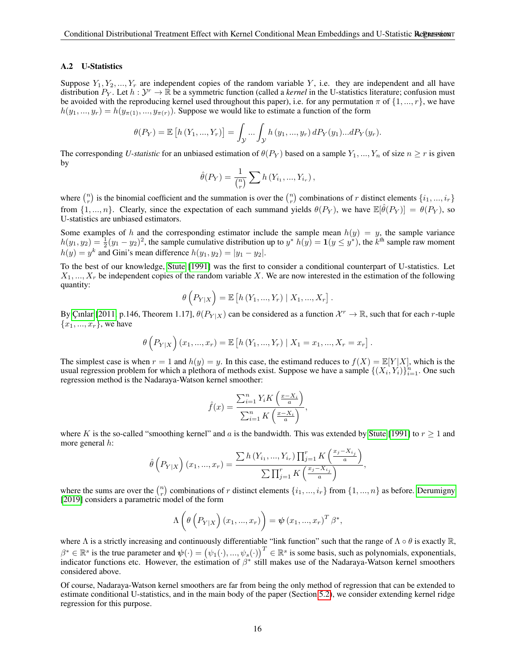#### A.2 U-Statistics

Suppose  $Y_1, Y_2, ..., Y_r$  are independent copies of the random variable Y, i.e. they are independent and all have distribution  $P_Y$ . Let  $h: Y^r \to \mathbb{R}$  be a symmetric function (called a *kernel* in the U-statistics literature; confusion must be avoided with the reproducing kernel used throughout this paper), i.e. for any permutation  $\pi$  of  $\{1, ..., r\}$ , we have  $h(y_1, ..., y_r) = h(y_{\pi(1)}, ..., y_{\pi(r)})$ . Suppose we would like to estimate a function of the form

$$
\theta(P_Y) = \mathbb{E}\left[h(Y_1, ..., Y_r)\right] = \int_{\mathcal{Y}} ... \int_{\mathcal{Y}} h(y_1, ..., y_r) dP_Y(y_1) ... dP_Y(y_r).
$$

The corresponding *U-statistic* for an unbiased estimation of  $\theta(P_Y)$  based on a sample  $Y_1, ..., Y_n$  of size  $n \geq r$  is given by

$$
\hat{\theta}(P_Y) = \frac{1}{\binom{n}{r}} \sum h(Y_{i_1}, ..., Y_{i_r}),
$$

where  $\binom{n}{r}$  is the binomial coefficient and the summation is over the  $\binom{n}{r}$  combinations of r distinct elements  $\{i_1, ..., i_r\}$ from  $\{1, ..., n\}$ . Clearly, since the expectation of each summand yields  $\theta(P_Y)$ , we have  $\mathbb{E}[\hat{\theta}(P_Y)] = \theta(P_Y)$ , so U-statistics are unbiased estimators.

Some examples of h and the corresponding estimator include the sample mean  $h(y) = y$ , the sample variance  $h(y_1, y_2) = \frac{1}{2}(y_1 - y_2)^2$ , the sample cumulative distribution up to  $y^* h(y) = \mathbf{1}(y \le y^*)$ , the  $k^{\text{th}}$  sample raw moment  $h(y) = y^k$  and Gini's mean difference  $h(y_1, y_2) = |y_1 - y_2|$ .

To the best of our knowledge, [Stute](#page-12-7) [\[1991\]](#page-12-7) was the first to consider a conditional counterpart of U-statistics. Let  $X_1, ..., X_r$  be independent copies of the random variable X. We are now interested in the estimation of the following quantity:

$$
\theta\left(P_{Y|X}\right) = \mathbb{E}\left[h(Y_1, ..., Y_r) | X_1, ..., X_r\right].
$$

By Ç[ınlar](#page-10-7) [\[2011,](#page-10-7) p.146, Theorem 1.17],  $\theta(P_{Y|X})$  can be considered as a function  $\mathcal{X}^r \to \mathbb{R}$ , such that for each r-tuple  ${x_1, ..., x_r}$ , we have

$$
\theta\left(P_{Y|X}\right)(x_1,...,x_r) = \mathbb{E}\left[h(Y_1,...,Y_r) \mid X_1 = x_1,...,X_r = x_r\right].
$$

The simplest case is when  $r = 1$  and  $h(y) = y$ . In this case, the estimand reduces to  $f(X) = \mathbb{E}[Y|X]$ , which is the usual regression problem for which a plethora of methods exist. Suppose we have a sample  $\{(X_i, Y_i)\}_{i=1}^n$ . One such regression method is the Nadaraya-Watson kernel smoother:

$$
\hat{f}(x) = \frac{\sum_{i=1}^{n} Y_i K\left(\frac{x - X_i}{a}\right)}{\sum_{i=1}^{n} K\left(\frac{x - X_i}{a}\right)},
$$

where K is the so-called "smoothing kernel" and a is the bandwidth. This was extended by [Stute](#page-12-7) [\[1991\]](#page-12-7) to  $r \ge 1$  and more general h:

$$
\hat{\theta}\left(P_{Y|X}\right)(x_1,...,x_r) = \frac{\sum h(Y_{i_1},...,Y_{i_r})\prod_{j=1}^r K\left(\frac{x_j - X_{i_j}}{a}\right)}{\sum \prod_{j=1}^r K\left(\frac{x_j - X_{i_j}}{a}\right)},
$$

where the sums are over the  $\binom{n}{r}$  combinations of r distinct elements  $\{i_1, ..., i_r\}$  from  $\{1, ..., n\}$  as before. [Derumigny](#page-10-17) [\[2019\]](#page-10-17) considers a parametric model of the form

$$
\Lambda\left(\theta\left(P_{Y|X}\right)(x_1,...,x_r)\right)=\psi(x_1,...,x_r)^T\beta^*,
$$

where  $\Lambda$  is a strictly increasing and continuously differentiable "link function" such that the range of  $\Lambda \circ \theta$  is exactly  $\mathbb{R}$ ,  $\beta^* \in \mathbb{R}^s$  is the true parameter and  $\psi(\cdot) = (\psi_1(\cdot), ..., \psi_s(\cdot))^T \in \mathbb{R}^s$  is some basis, such as polynomials, exponentials, indicator functions etc. However, the estimation of  $\beta^*$  still makes use of the Nadaraya-Watson kernel smoothers considered above.

Of course, Nadaraya-Watson kernel smoothers are far from being the only method of regression that can be extended to estimate conditional U-statistics, and in the main body of the paper (Section [5.2\)](#page-6-1), we consider extending kernel ridge regression for this purpose.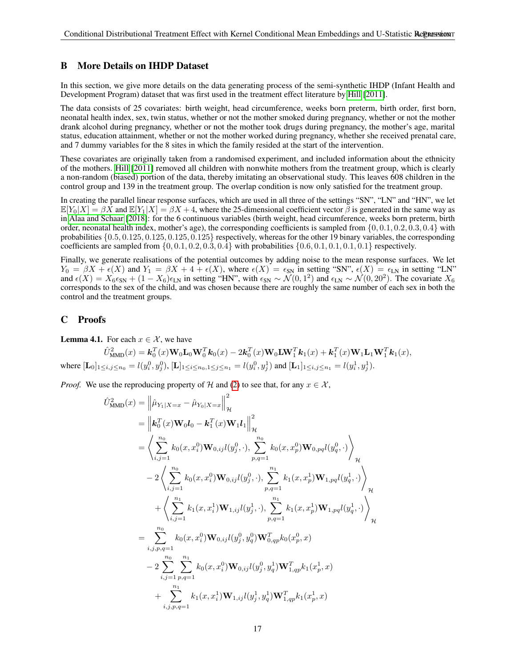# <span id="page-16-1"></span>B More Details on IHDP Dataset

In this section, we give more details on the data generating process of the semi-synthetic IHDP (Infant Health and Development Program) dataset that was first used in the treatment effect literature by [Hill](#page-10-9) [\[2011\]](#page-10-9).

The data consists of 25 covariates: birth weight, head circumference, weeks born preterm, birth order, first born, neonatal health index, sex, twin status, whether or not the mother smoked during pregnancy, whether or not the mother drank alcohol during pregnancy, whether or not the mother took drugs during pregnancy, the mother's age, marital status, education attainment, whether or not the mother worked during pregnancy, whether she received prenatal care, and 7 dummy variables for the 8 sites in which the family resided at the start of the intervention.

These covariates are originally taken from a randomised experiment, and included information about the ethnicity of the mothers. [Hill](#page-10-9) [\[2011\]](#page-10-9) removed all children with nonwhite mothers from the treatment group, which is clearly a non-random (biased) portion of the data, thereby imitating an observational study. This leaves 608 children in the control group and 139 in the treatment group. The overlap condition is now only satisfied for the treatment group.

In creating the parallel linear response surfaces, which are used in all three of the settings "SN", "LN" and "HN", we let  $\mathbb{E}[Y_0|X] = \beta X$  and  $\mathbb{E}[Y_1|X] = \beta X + 4$ , where the 25-dimensional coefficient vector  $\beta$  is generated in the same way as in [Alaa and Schaar](#page-9-3) [\[2018\]](#page-9-3): for the 6 continuous variables (birth weight, head circumference, weeks born preterm, birth order, neonatal health index, mother's age), the corresponding coefficients is sampled from  $\{0, 0.1, 0.2, 0.3, 0.4\}$  with probabilities {0.5, 0.125, 0.125, 0.125, 0.125} respectively, whereas for the other 19 binary variables, the corresponding coefficients are sampled from  $\{0, 0.1, 0.2, 0.3, 0.4\}$  with probabilities  $\{0.6, 0.1, 0.1, 0.1, 0.1\}$  respectively.

Finally, we generate realisations of the potential outcomes by adding noise to the mean response surfaces. We let  $Y_0 = \beta X + \epsilon(X)$  and  $Y_1 = \beta X + 4 + \epsilon(X)$ , where  $\epsilon(X) = \epsilon_{SN}$  in setting "SN",  $\epsilon(X) = \epsilon_{LN}$  in setting "LN" and  $\epsilon(X) = X_6 \epsilon_{SN} + (1 - X_6) \epsilon_{LN}$  in setting "HN", with  $\epsilon_{SN} \sim \mathcal{N}(0, 1^2)$  and  $\epsilon_{LN} \sim \mathcal{N}(0, 20^2)$ . The covariate  $X_6$ corresponds to the sex of the child, and was chosen because there are roughly the same number of each sex in both the control and the treatment groups.

# <span id="page-16-0"></span>C Proofs

**Lemma 4.1.** For each  $x \in \mathcal{X}$ , we have

$$
\hat{U}_{\text{MMD}}^2(x) = \mathbf{k}_0^T(x) \mathbf{W}_0 \mathbf{L}_0 \mathbf{W}_0^T \mathbf{k}_0(x) - 2 \mathbf{k}_0^T(x) \mathbf{W}_0 \mathbf{L} \mathbf{W}_1^T \mathbf{k}_1(x) + \mathbf{k}_1^T(x) \mathbf{W}_1 \mathbf{L}_1 \mathbf{W}_1^T \mathbf{k}_1(x),
$$
\nwhere  $[\mathbf{L}_0]_{1 \le i, j \le n_0} = l(y_i^0, y_j^0)$ ,  $[\mathbf{L}]_{1 \le i \le n_0, 1 \le j \le n_1} = l(y_i^0, y_j^1)$  and  $[\mathbf{L}_1]_{1 \le i, j \le n_1} = l(y_i^1, y_j^1)$ .

*Proof.* We use the reproducing property of H and [\(2\)](#page-4-2) to see that, for any  $x \in \mathcal{X}$ ,

$$
\hat{U}_{\text{MMD}}^{2}(x) = \left\| \hat{\mu}_{Y_{1}|X=x} - \hat{\mu}_{Y_{0}|X=x} \right\|_{\mathcal{H}}^{2}
$$
\n
$$
= \left\| \mathbf{k}_{0}^{T}(x)\mathbf{W}_{0}l_{0} - \mathbf{k}_{1}^{T}(x)\mathbf{W}_{1}l_{1} \right\|_{\mathcal{H}}^{2}
$$
\n
$$
= \left\langle \sum_{i,j=1}^{n_{0}} k_{0}(x, x_{i}^{0})\mathbf{W}_{0,ij}l(y_{j}^{0}, \cdot), \sum_{p,q=1}^{n_{0}} k_{0}(x, x_{p}^{0})\mathbf{W}_{0,pq}l(y_{q}^{0}, \cdot) \right\rangle_{\mathcal{H}}
$$
\n
$$
- 2\left\langle \sum_{i,j=1}^{n_{0}} k_{0}(x, x_{i}^{0})\mathbf{W}_{0,ij}l(y_{j}^{0}, \cdot), \sum_{p,q=1}^{n_{1}} k_{1}(x, x_{p}^{1})\mathbf{W}_{1,pq}l(y_{q}^{1}, \cdot) \right\rangle_{\mathcal{H}}
$$
\n
$$
+ \left\langle \sum_{i,j=1}^{n_{1}} k_{1}(x, x_{i}^{1})\mathbf{W}_{1,ij}l(y_{j}^{1}, \cdot), \sum_{p,q=1}^{n_{1}} k_{1}(x, x_{p}^{1})\mathbf{W}_{1,pq}l(y_{q}^{1}, \cdot) \right\rangle_{\mathcal{H}}
$$
\n
$$
= \sum_{i,j,p,q=1}^{n_{0}} k_{0}(x, x_{i}^{0})\mathbf{W}_{0,ij}l(y_{j}^{0}, y_{q}^{0})\mathbf{W}_{0,qp}^{T}k_{0}(x_{p}^{0}, x)
$$
\n
$$
- 2\sum_{i,j=1}^{n_{0}} \sum_{p,q=1}^{n_{1}} k_{0}(x, x_{i}^{0})\mathbf{W}_{0,ij}l(y_{j}^{0}, y_{q}^{1})\mathbf{W}_{1,qp}^{T}k_{1}(x_{p}^{1}, x)
$$
\n
$$
+ \sum_{i,j,p,q=1}^{n_{1}} k_{1}(x, x_{i}^{1})\mathbf{W}_{1,ij}l(y_{j}^{1}, y_{q}^{1})\mathbf{W}_{1,qp}^{T
$$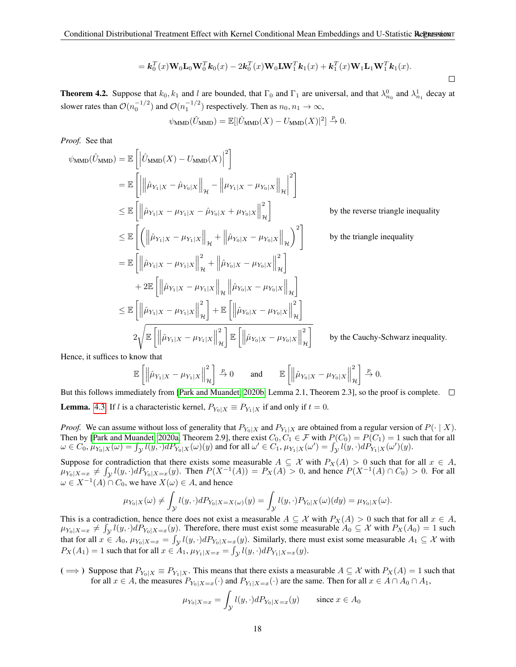$$
= \mathbf{k}_0^T(x)\mathbf{W}_0\mathbf{L}_0\mathbf{W}_0^T\mathbf{k}_0(x) - 2\mathbf{k}_0^T(x)\mathbf{W}_0\mathbf{L}\mathbf{W}_1^T\mathbf{k}_1(x) + \mathbf{k}_1^T(x)\mathbf{W}_1\mathbf{L}_1\mathbf{W}_1^T\mathbf{k}_1(x).
$$

**Theorem 4.2.** Suppose that  $k_0, k_1$  and l are bounded, that  $\Gamma_0$  and  $\Gamma_1$  are universal, and that  $\lambda_{n_0}^0$  and  $\lambda_{n_1}^1$  decay at slower rates than  $\mathcal{O}(n_0^{-1/2})$  and  $\mathcal{O}(n_1^{-1/2})$  respectively. Then as  $n_0, n_1 \to \infty$ ,

$$
\psi_{\text{MMD}}(\hat{U}_{\text{MMD}}) = \mathbb{E}[|\hat{U}_{\text{MMD}}(X) - U_{\text{MMD}}(X)|^2] \stackrel{p}{\to} 0.
$$

*Proof.* See that

$$
\psi_{\text{MMD}}(\hat{U}_{\text{MMD}}) = \mathbb{E}\left[\left\|\hat{U}_{\text{MMD}}(X) - U_{\text{MMD}}(X)\right\|^2\right]
$$
\n
$$
= \mathbb{E}\left[\left\|\hat{\mu}_{Y_1|X} - \hat{\mu}_{Y_0|X}\right\|_{\mathcal{H}} - \left\|\mu_{Y_1|X} - \mu_{Y_0|X}\right\|_{\mathcal{H}}\right]^2\right]
$$
\n
$$
\leq \mathbb{E}\left[\left\|\hat{\mu}_{Y_1|X} - \mu_{Y_1|X} - \hat{\mu}_{Y_0|X} + \mu_{Y_0|X}\right\|_{\mathcal{H}}^2\right] \qquad \text{by the reverse triangle inequality}
$$
\n
$$
\leq \mathbb{E}\left[\left(\left\|\hat{\mu}_{Y_1|X} - \mu_{Y_1|X}\right\|_{\mathcal{H}} + \left\|\hat{\mu}_{Y_0|X} - \mu_{Y_0|X}\right\|_{\mathcal{H}}\right)^2\right] \qquad \text{by the triangle inequality}
$$
\n
$$
= \mathbb{E}\left[\left\|\hat{\mu}_{Y_1|X} - \mu_{Y_1|X}\right\|_{\mathcal{H}}^2 + \left\|\hat{\mu}_{Y_0|X} - \mu_{Y_0|X}\right\|_{\mathcal{H}}^2\right]
$$
\n
$$
+ 2\mathbb{E}\left[\left\|\hat{\mu}_{Y_1|X} - \mu_{Y_1|X}\right\|_{\mathcal{H}}^2\right] + \mathbb{E}\left[\left\|\hat{\mu}_{Y_0|X} - \mu_{Y_0|X}\right\|_{\mathcal{H}}^2\right]
$$
\n
$$
\leq \mathbb{E}\left[\left\|\hat{\mu}_{Y_1|X} - \mu_{Y_1|X}\right\|_{\mathcal{H}}^2\right] + \mathbb{E}\left[\left\|\hat{\mu}_{Y_0|X} - \mu_{Y_0|X}\right\|_{\mathcal{H}}^2\right]
$$
\n
$$
2\sqrt{\mathbb{E}\left[\left\|\hat{\mu}_{Y_1|X} - \mu_{Y_1|X}\right\|_{\mathcal{H}}^2\right] \mathbb{E}\left[\left\|\hat{\mu}_{Y_0|X} - \mu_{Y_0|X}\right\|_{\mathcal{H}}^2\
$$

Hence, it suffices to know that

$$
\mathbb{E}\left[\left\|\hat{\mu}_{Y_1|X}-\mu_{Y_1|X}\right\|_{\mathcal{H}}^2\right] \xrightarrow{p} 0 \quad \text{and} \quad \mathbb{E}\left[\left\|\hat{\mu}_{Y_0|X}-\mu_{Y_0|X}\right\|_{\mathcal{H}}^2\right] \xrightarrow{p} 0.
$$

But this follows immediately from [\[Park and Muandet, 2020b,](#page-11-25) Lemma 2.1, Theorem 2.3], so the proof is complete.  $\Box$ **Lemma.** [4.3.](#page-5-3) If l is a characteristic kernel,  $P_{Y_0|X} \equiv P_{Y_1|X}$  if and only if  $t = 0$ .

*Proof.* We can assume without loss of generality that  $P_{Y_0|X}$  and  $P_{Y_1|X}$  are obtained from a regular version of  $P(\cdot | X)$ . Then by [\[Park and Muandet, 2020a,](#page-11-3) Theorem 2.9], there exist  $C_0, C_1 \in \mathcal{F}$  with  $P(C_0) = P(C_1) = 1$  such that for all  $\omega \in C_0$ ,  $\mu_{Y_0|X}(\omega) = \int_{\mathcal{Y}} l(y, \cdot) dP_{Y_0|X}(\omega)(y)$  and for all  $\omega' \in C_1$ ,  $\mu_{Y_1|X}(\omega') = \int_{\mathcal{Y}} l(y, \cdot) dP_{Y_1|X}(\omega')(y)$ .

Suppose for contradiction that there exists some measurable  $A \subseteq \mathcal{X}$  with  $P_X(A) > 0$  such that for all  $x \in A$ ,  $\mu_{Y_0|X=x}$   $\neq \int_{\mathcal{Y}} l(y, \cdot) dP_{Y_0|X=x}(y)$ . Then  $P(X^{-1}(A)) = P_X(A) > 0$ , and hence  $P(X^{-1}(A) \cap C_0) > 0$ . For all  $\omega \in X^{-1}(A) \cap C_0$ , we have  $X(\omega) \in A$ , and hence

$$
\mu_{Y_0|X}(\omega) \neq \int_{\mathcal{Y}} l(y,\cdot) dP_{Y_0|X=X(\omega)}(y) = \int_{\mathcal{Y}} l(y,\cdot) P_{Y_0|X}(\omega)(dy) = \mu_{Y_0|X}(\omega).
$$

This is a contradiction, hence there does not exist a measurable  $A \subseteq \mathcal{X}$  with  $P_X(A) > 0$  such that for all  $x \in A$ ,  $\mu_{Y_0|X=x} \neq \int_{\mathcal{Y}} l(y, \cdot) dP_{Y_0|X=x}(y)$ . Therefore, there must exist some measurable  $A_0 \subseteq \mathcal{X}$  with  $P_X(A_0) = 1$  such that for all  $x \in A_0$ ,  $\mu_{Y_0|X=x} = \int_{\mathcal{Y}} l(y, \cdot) dP_{Y_0|X=x}(y)$ . Similarly, there must exist some measurable  $A_1 \subseteq \mathcal{X}$  with  $P_X(A_1) = 1$  such that for all  $x \in A_1$ ,  $\mu_{Y_1|X=x} = \int_{\mathcal{Y}} l(y, \cdot) dP_{Y_1|X=x}(y)$ .

( ⇒ ) Suppose that  $P_{Y_0|X} \equiv P_{Y_1|X}$ . This means that there exists a measurable  $A \subseteq \mathcal{X}$  with  $P_X(A) = 1$  such that for all  $x \in A$ , the measures  $P_{Y_0|X=x}(\cdot)$  and  $P_{Y_1|X=x}(\cdot)$  are the same. Then for all  $x \in A \cap A_0 \cap A_1$ ,

$$
\mu_{Y_0|X=x} = \int_{\mathcal{Y}} l(y, \cdot) dP_{Y_0|X=x}(y) \quad \text{since } x \in A_0
$$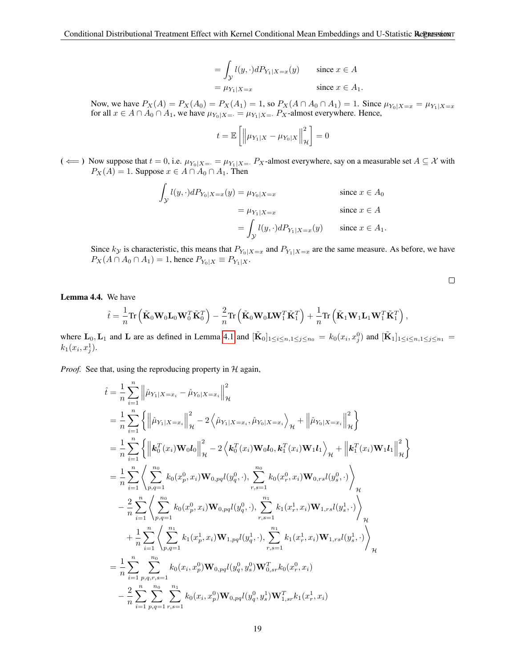$$
= \int_{\mathcal{Y}} l(y, \cdot) dP_{Y_1|X=x}(y) \quad \text{since } x \in A
$$

$$
= \mu_{Y_1|X=x} \quad \text{since } x \in A_1.
$$

Now, we have  $P_X(A) = P_X(A_0) = P_X(A_1) = 1$ , so  $P_X(A \cap A_0 \cap A_1) = 1$ . Since  $\mu_{Y_0|X=x} = \mu_{Y_1|X=x}$ for all  $x \in A \cap A_0 \cap A_1$ , we have  $\mu_{Y_0|X=} = \mu_{Y_1|X=} P_X$ -almost everywhere. Hence,

$$
t = \mathbb{E}\left[\left\|\mu_{Y_1|X} - \mu_{Y_0|X}\right\|_{\mathcal{H}}^2\right] = 0
$$

(  $\Leftarrow$  ) Now suppose that  $t = 0$ , i.e.  $\mu_{Y_0|X=} = \mu_{Y_1|X=} P_X$ -almost everywhere, say on a measurable set  $A \subseteq \mathcal{X}$  with  $P_X(A) = 1$ . Suppose  $x \in A \cap A_0 \cap A_1$ . Then

$$
\int_{\mathcal{Y}} l(y, \cdot) dP_{Y_0|X=x}(y) = \mu_{Y_0|X=x} \qquad \text{since } x \in A_0
$$
\n
$$
= \mu_{Y_1|X=x} \qquad \text{since } x \in A
$$
\n
$$
= \int_{\mathcal{Y}} l(y, \cdot) dP_{Y_1|X=x}(y) \qquad \text{since } x \in A_1.
$$

Since  $k_y$  is characteristic, this means that  $P_{Y_0|X=x}$  and  $P_{Y_1|X=x}$  are the same measure. As before, we have  $P_X(A \cap A_0 \cap A_1) = 1$ , hence  $P_{Y_0|X} \equiv P_{Y_1|X}$ .

 $\Box$ 

Lemma 4.4. We have

$$
\hat{t} = \frac{1}{n}\text{Tr}\left(\tilde{\mathbf{K}}_0\mathbf{W}_0\mathbf{L}_0\mathbf{W}_0^T\tilde{\mathbf{K}}_0^T\right) - \frac{2}{n}\text{Tr}\left(\tilde{\mathbf{K}}_0\mathbf{W}_0\mathbf{L}\mathbf{W}_1^T\tilde{\mathbf{K}}_1^T\right) + \frac{1}{n}\text{Tr}\left(\tilde{\mathbf{K}}_1\mathbf{W}_1\mathbf{L}_1\mathbf{W}_1^T\tilde{\mathbf{K}}_1^T\right),\,
$$

where  $\mathbf{L}_0$ ,  $\mathbf{L}_1$  and  $\mathbf{L}$  are as defined in Lemma [4.1](#page-4-4) and  $[\tilde{\mathbf{K}}_0]_{1 \le i \le n, 1 \le j \le n_0} = k_0(x_i, x_j^0)$  and  $[\tilde{\mathbf{K}}_1]_{1 \le i \le n, 1 \le j \le n_1}$  $k_1(x_i, x_j^1)$ .

*Proof.* See that, using the reproducing property in  $H$  again,

$$
\hat{t} = \frac{1}{n} \sum_{i=1}^{n} \left\| \hat{\mu}_{Y_{1}|X=x_{i}} - \hat{\mu}_{Y_{0}|X=x_{i}} \right\|_{\mathcal{H}}^{2}
$$
\n
$$
= \frac{1}{n} \sum_{i=1}^{n} \left\{ \left\| \hat{\mu}_{Y_{1}|X=x_{i}} \right\|_{\mathcal{H}}^{2} - 2 \left\langle \hat{\mu}_{Y_{1}|X=x_{i}}, \hat{\mu}_{Y_{0}|X=x_{i}} \right\rangle_{\mathcal{H}} + \left\| \hat{\mu}_{Y_{0}|X=x_{i}} \right\|_{\mathcal{H}}^{2} \right\}
$$
\n
$$
= \frac{1}{n} \sum_{i=1}^{n} \left\{ \left\| \mathbf{k}_{0}^{T}(x_{i}) \mathbf{W}_{0} \mathbf{l}_{0} \right\|_{\mathcal{H}}^{2} - 2 \left\langle \mathbf{k}_{0}^{T}(x_{i}) \mathbf{W}_{0} \mathbf{l}_{0}, \mathbf{k}_{1}^{T}(x_{i}) \mathbf{W}_{1} \mathbf{l}_{1} \right\rangle_{\mathcal{H}} + \left\| \mathbf{k}_{1}^{T}(x_{i}) \mathbf{W}_{1} \mathbf{l}_{1} \right\|_{\mathcal{H}}^{2} \right\}
$$
\n
$$
= \frac{1}{n} \sum_{i=1}^{n} \left\langle \sum_{p,q=1}^{n_{0}} k_{0}(x_{p}^{0}, x_{i}) \mathbf{W}_{0,pq} l(y_{q}^{0}, \cdot), \sum_{r,s=1}^{n_{0}} k_{0}(x_{r}^{0}, x_{i}) \mathbf{W}_{0,rs} l(y_{s}^{0}, \cdot) \right\rangle_{\mathcal{H}}^{2}
$$
\n
$$
- \frac{2}{n} \sum_{i=1}^{n} \left\langle \sum_{p,q=1}^{n_{0}} k_{0}(x_{p}^{0}, x_{i}) \mathbf{W}_{0,pq} l(y_{q}^{0}, \cdot), \sum_{r,s=1}^{n_{1}} k_{1}(x_{r}^{1}, x_{i}) \mathbf{W}_{1,rs} l(y_{s}^{1}, \cdot) \right\rangle_{\mathcal{H}}^{2}
$$
\n
$$
+ \frac{1}{n} \sum_{i=1}^{n} \left\langle \sum_{p,q=1}^{n_{0}} k_{1}(x_{p}
$$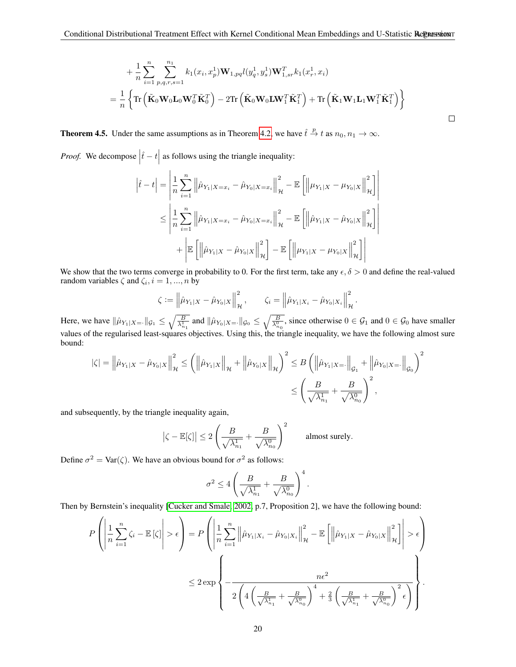$$
+\frac{1}{n}\sum_{i=1}^{n}\sum_{p,q,r,s=1}^{n_1}k_1(x_i,x_p^1)\mathbf{W}_{1,pq}l(y_q^1,y_s^1)\mathbf{W}_{1,sr}^Tk_1(x_r^1,x_i)
$$
  
=
$$
\frac{1}{n}\left\{\text{Tr}\left(\tilde{\mathbf{K}}_0\mathbf{W}_0\mathbf{L}_0\mathbf{W}_0^T\tilde{\mathbf{K}}_0^T\right) - 2\text{Tr}\left(\tilde{\mathbf{K}}_0\mathbf{W}_0\mathbf{L}\mathbf{W}_1^T\tilde{\mathbf{K}}_1^T\right) + \text{Tr}\left(\tilde{\mathbf{K}}_1\mathbf{W}_1\mathbf{L}_1\mathbf{W}_1^T\tilde{\mathbf{K}}_1^T\right)\right\}
$$

 $\Box$ 

**Theorem 4.5.** Under the same assumptions as in Theorem [4.2,](#page-4-5) we have  $\hat{t} \stackrel{p}{\to} t$  as  $n_0, n_1 \to \infty$ .

*Proof.* We decompose  $|\hat{t} - t|$  as follows using the triangle inequality:

 $\mid$ 

$$
\left|\hat{t} - t\right| = \left|\frac{1}{n}\sum_{i=1}^{n} \left\|\hat{\mu}_{Y_{1}|X=x_{i}} - \hat{\mu}_{Y_{0}|X=x_{i}}\right\|_{\mathcal{H}}^{2} - \mathbb{E}\left[\left\|\mu_{Y_{1}|X} - \mu_{Y_{0}|X}\right\|_{\mathcal{H}}^{2}\right] \right|
$$
  

$$
\leq \left|\frac{1}{n}\sum_{i=1}^{n} \left\|\hat{\mu}_{Y_{1}|X=x_{i}} - \hat{\mu}_{Y_{0}|X=x_{i}}\right\|_{\mathcal{H}}^{2} - \mathbb{E}\left[\left\|\hat{\mu}_{Y_{1}|X} - \hat{\mu}_{Y_{0}|X}\right\|_{\mathcal{H}}^{2}\right] \right|
$$
  

$$
+ \left|\mathbb{E}\left[\left\|\hat{\mu}_{Y_{1}|X} - \hat{\mu}_{Y_{0}|X}\right\|_{\mathcal{H}}^{2}\right] - \mathbb{E}\left[\left\|\mu_{Y_{1}|X} - \mu_{Y_{0}|X}\right\|_{\mathcal{H}}^{2}\right]\right|
$$

We show that the two terms converge in probability to 0. For the first term, take any  $\epsilon, \delta > 0$  and define the real-valued random variables  $\zeta$  and  $\zeta_i$ ,  $i = 1, ..., n$  by

$$
\zeta := \left\| \hat{\mu}_{Y_1|X} - \hat{\mu}_{Y_0|X} \right\|_{\mathcal{H}}^2, \qquad \zeta_i = \left\| \hat{\mu}_{Y_1|X_i} - \hat{\mu}_{Y_0|X_i} \right\|_{\mathcal{H}}^2.
$$

Here, we have  $\|\hat{\mu}_{Y_1|X=}\|_{\mathcal{G}_1} \leq \sqrt{\frac{B}{\lambda_{n_1}^1}}$  and  $\|\hat{\mu}_{Y_0|X=}\|_{\mathcal{G}_0} \leq \sqrt{\frac{B}{\lambda_{n_0}^0}}$ , since otherwise  $0 \in \mathcal{G}_1$  and  $0 \in \mathcal{G}_0$  have smaller values of the regularised least-squares objectives. Using this, the triangle inequality, we have the following almost sure bound:

$$
\begin{aligned} |\zeta|=\left\|\hat{\mu}_{Y_1|X}-\hat{\mu}_{Y_0|X}\right\|_{\mathcal{H}}^2 &\leq \left(\left\|\hat{\mu}_{Y_1|X}\right\|_{\mathcal{H}}+\left\|\hat{\mu}_{Y_0|X}\right\|_{\mathcal{H}}\right)^2 \leq B\left(\left\|\hat{\mu}_{Y_1|X=\cdot}\right\|_{\mathcal{G}_1}+\left\|\hat{\mu}_{Y_0|X=\cdot}\right\|_{\mathcal{G}_0}\right)^2\\ &\leq \left(\frac{B}{\sqrt{\lambda_{n_1}^1}}+\frac{B}{\sqrt{\lambda_{n_0}^0}}\right)^2, \end{aligned}
$$

and subsequently, by the triangle inequality again,

$$
|\zeta - \mathbb{E}[\zeta]| \le 2\left(\frac{B}{\sqrt{\lambda_{n_1}^1}} + \frac{B}{\sqrt{\lambda_{n_0}^0}}\right)^2
$$
 almost surely.

Define  $\sigma^2 = \text{Var}(\zeta)$ . We have an obvious bound for  $\sigma^2$  as follows:

$$
\sigma^2 \le 4 \left( \frac{B}{\sqrt{\lambda_{n_1}^1}} + \frac{B}{\sqrt{\lambda_{n_0}^0}} \right)^4.
$$

Then by Bernstein's inequality [\[Cucker and Smale, 2002,](#page-10-25) p.7, Proposition 2], we have the following bound:

$$
P\left(\left|\frac{1}{n}\sum_{i=1}^{n}\zeta_{i}-\mathbb{E}\left[\zeta\right]\right|>\epsilon\right)=P\left(\left|\frac{1}{n}\sum_{i=1}^{n}\left\|\hat{\mu}_{Y_{1}|X_{i}}-\hat{\mu}_{Y_{0}|X_{i}}\right\|_{\mathcal{H}}^{2}-\mathbb{E}\left[\left\|\hat{\mu}_{Y_{1}|X}-\hat{\mu}_{Y_{0}|X}\right\|_{\mathcal{H}}^{2}\right]\right|>\epsilon\right)
$$

$$
\leq 2\exp\left\{-\frac{n\epsilon^{2}}{2\left(4\left(\frac{B}{\sqrt{\lambda_{n_{1}}^{1}}+\frac{B}{\sqrt{\lambda_{n_{0}}^{0}}}\right)^{4}+\frac{2}{3}\left(\frac{B}{\sqrt{\lambda_{n_{1}}^{1}}+\frac{B}{\sqrt{\lambda_{n_{0}}^{0}}}\right)^{2}\epsilon\right)}\right\}.
$$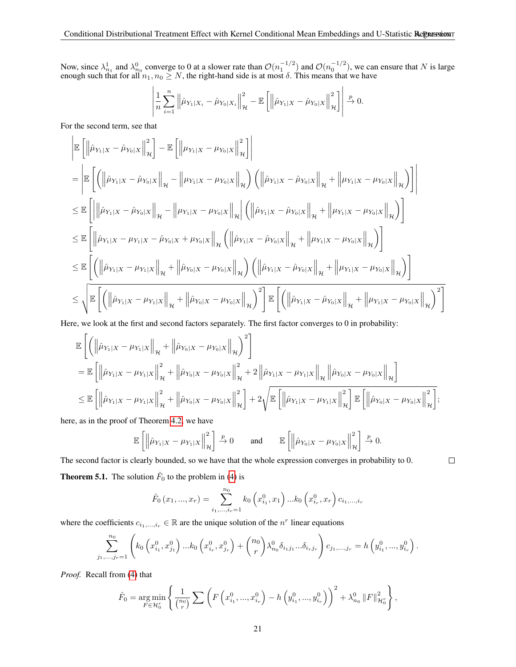Now, since  $\lambda_{n_1}^1$  and  $\lambda_{n_0}^0$  converge to 0 at a slower rate than  $\mathcal{O}(n_1^{-1/2})$  and  $\mathcal{O}(n_0^{-1/2})$ , we can ensure that N is large enough such that for all  $n_1, n_0 \ge N$ , the right-hand side is at most  $\delta$ . This means that we have

$$
\left| \frac{1}{n} \sum_{i=1}^{n} \left\| \hat{\mu}_{Y_1|X_i} - \hat{\mu}_{Y_0|X_i} \right\|_{\mathcal{H}}^2 - \mathbb{E} \left[ \left\| \hat{\mu}_{Y_1|X} - \hat{\mu}_{Y_0|X} \right\|_{\mathcal{H}}^2 \right] \right| \xrightarrow{p} 0.
$$

For the second term, see that

$$
\begin{split}\n&\left\|\mathbb{E}\left[\left\|\hat{\mu}_{Y_{1}|X}-\hat{\mu}_{Y_{0}|X}\right\|_{\mathcal{H}}^{2}\right]-\mathbb{E}\left[\left\|\mu_{Y_{1}|X}-\mu_{Y_{0}|X}\right\|_{\mathcal{H}}^{2}\right]\right] \\
&=\left|\mathbb{E}\left[\left(\left\|\hat{\mu}_{Y_{1}|X}-\hat{\mu}_{Y_{0}|X}\right\|_{\mathcal{H}}-\left\|\mu_{Y_{1}|X}-\mu_{Y_{0}|X}\right\|_{\mathcal{H}}\right)\left(\left\|\hat{\mu}_{Y_{1}|X}-\hat{\mu}_{Y_{0}|X}\right\|_{\mathcal{H}}+\left\|\mu_{Y_{1}|X}-\mu_{Y_{0}|X}\right\|_{\mathcal{H}}\right)\right]\right| \\
&\leq\mathbb{E}\left[\left\|\left\|\hat{\mu}_{Y_{1}|X}-\hat{\mu}_{Y_{0}|X}\right\|_{\mathcal{H}}-\left\|\mu_{Y_{1}|X}-\mu_{Y_{0}|X}\right\|_{\mathcal{H}}\right|\left(\left\|\hat{\mu}_{Y_{1}|X}-\hat{\mu}_{Y_{0}|X}\right\|_{\mathcal{H}}+\left\|\mu_{Y_{1}|X}-\mu_{Y_{0}|X}\right\|_{\mathcal{H}}\right)\right]\n\end{split}
$$
\n
$$
\leq\mathbb{E}\left[\left\|\hat{\mu}_{Y_{1}|X}-\mu_{Y_{1}|X}-\hat{\mu}_{Y_{0}|X}+\mu_{Y_{0}|X}\right\|_{\mathcal{H}}\left(\left\|\hat{\mu}_{Y_{1}|X}-\hat{\mu}_{Y_{0}|X}\right\|_{\mathcal{H}}+\left\|\mu_{Y_{1}|X}-\mu_{Y_{0}|X}\right\|_{\mathcal{H}}\right)\right]\n\leq\mathbb{E}\left[\left(\left\|\hat{\mu}_{Y_{1}|X}-\mu_{Y_{1}|X}\right\|_{\mathcal{H}}+\left\|\hat{\mu}_{Y_{0}|X}-\mu_{Y_{0}|X}\right\|_{\mathcal{H}}\right)\left(\left\|\hat{\mu}_{Y_{1}|X}-\hat{\mu}_{Y_{0}|X}\right\|_{\mathcal{H}}+\left\|\mu_{Y_{1}|X}-\mu_{Y_{0}|X}\right\|_{\mathcal{H}}\right)\right]\n\leq\n\sqrt{\mathbb{E}\left[\left(\left\|\hat{\mu}_{Y_{1}|X}-\mu_{Y_{1}|X}\right\
$$

Here, we look at the first and second factors separately. The first factor converges to 0 in probability:

$$
\mathbb{E}\left[\left(\left\|\hat{\mu}_{Y_{1}|X}-\mu_{Y_{1}|X}\right\|_{\mathcal{H}}+\left\|\hat{\mu}_{Y_{0}|X}-\mu_{Y_{0}|X}\right\|_{\mathcal{H}}\right)^{2}\right] \n= \mathbb{E}\left[\left\|\hat{\mu}_{Y_{1}|X}-\mu_{Y_{1}|X}\right\|_{\mathcal{H}}^{2}+\left\|\hat{\mu}_{Y_{0}|X}-\mu_{Y_{0}|X}\right\|_{\mathcal{H}}^{2}+2\left\|\hat{\mu}_{Y_{1}|X}-\mu_{Y_{1}|X}\right\|_{\mathcal{H}}\left\|\hat{\mu}_{Y_{0}|X}-\mu_{Y_{0}|X}\right\|_{\mathcal{H}}\right] \n\leq \mathbb{E}\left[\left\|\hat{\mu}_{Y_{1}|X}-\mu_{Y_{1}|X}\right\|_{\mathcal{H}}^{2}+\left\|\hat{\mu}_{Y_{0}|X}-\mu_{Y_{0}|X}\right\|_{\mathcal{H}}^{2}\right]+2\sqrt{\mathbb{E}\left[\left\|\hat{\mu}_{Y_{1}|X}-\mu_{Y_{1}|X}\right\|_{\mathcal{H}}^{2}\right]\mathbb{E}\left[\left\|\hat{\mu}_{Y_{0}|X}-\mu_{Y_{0}|X}\right\|_{\mathcal{H}}^{2}\right]},
$$

here, as in the proof of Theorem [4.2,](#page-4-5) we have

$$
\mathbb{E}\left[\left\|\hat{\mu}_{Y_1|X}-\mu_{Y_1|X}\right\|_{\mathcal{H}}^2\right] \xrightarrow{p} 0 \quad \text{and} \quad \mathbb{E}\left[\left\|\hat{\mu}_{Y_0|X}-\mu_{Y_0|X}\right\|_{\mathcal{H}}^2\right] \xrightarrow{p} 0.
$$

 $\Box$ 

The second factor is clearly bounded, so we have that the whole expression converges in probability to 0. **Theorem 5.1.** The solution  $\hat{F}_0$  to the problem in [\(4\)](#page-7-0) is

$$
\hat{F}_0(x_1, ..., x_r) = \sum_{i_1, ..., i_r=1}^{n_0} k_0(x_{i_1}^0, x_1) ... k_0(x_{i_r}^0, x_r) c_{i_1, ..., i_r}
$$

where the coefficients  $c_{i_1,\dots,i_r} \in \mathbb{R}$  are the unique solution of the  $n^r$  linear equations

$$
\sum_{j_1,\dots,j_r=1}^{n_0} \left( k_0 \left( x_{i_1}^0, x_{j_1}^0 \right) \dots k_0 \left( x_{i_r}^0, x_{j_r}^0 \right) + \binom{n_0}{r} \lambda_{n_0}^0 \delta_{i_1 j_1} \dots \delta_{i_r j_r} \right) c_{j_1,\dots,j_r} = h \left( y_{i_1}^0, \dots, y_{i_r}^0 \right).
$$

*Proof.* Recall from [\(4\)](#page-7-0) that

$$
\hat{F}_0 = \underset{F \in \mathcal{H}_0^r}{\arg \min} \left\{ \frac{1}{\binom{n_0}{r}} \sum \left( F\left(x_{i_1}^0, ..., x_{i_r}^0\right) - h\left(y_{i_1}^0, ..., y_{i_r}^0\right) \right)^2 + \lambda_{n_0}^0 \|F\|_{\mathcal{H}_0^r}^2 \right\},
$$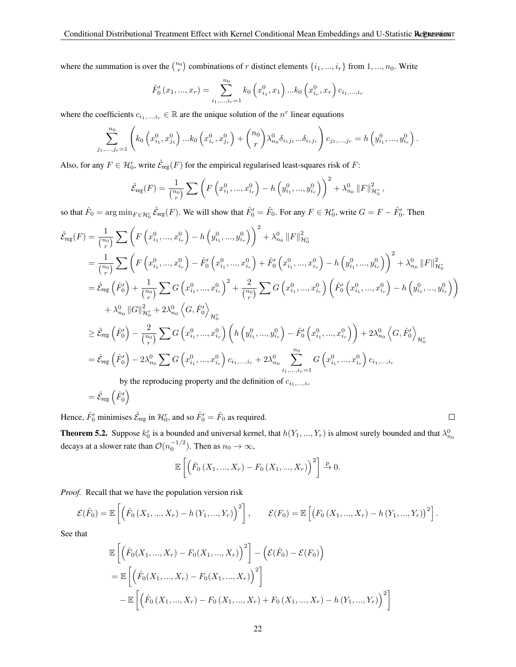where the summation is over the  $\binom{n_0}{r}$  combinations of r distinct elements  $\{i_1, ..., i_r\}$  from  $1, ..., n_0$ . Write

$$
\hat{F}'_0(x_1, ..., x_r) = \sum_{i_1, ..., i_r=1}^{n_0} k_0(x_{i_1}^0, x_1) ... k_0(x_{i_r}^0, x_r) c_{i_1, ..., i_r}
$$

where the coefficients  $c_{i_1,\dots,i_r} \in \mathbb{R}$  are the unique solution of the  $n^r$  linear equations

$$
\sum_{j_1,\dots,j_r=1}^{n_0} \left( k_0 \left( x_{i_1}^0, x_{j_1}^0 \right) \dots k_0 \left( x_{i_r}^0, x_{j_r}^0 \right) + \binom{n_0}{r} \lambda_{n_0}^0 \delta_{i_1 j_1} \dots \delta_{i_r j_r} \right) c_{j_1,\dots,j_r} = h \left( y_{i_1}^0, \dots, y_{i_r}^0 \right).
$$

Also, for any  $F \in \mathcal{H}_0^r$ , write  $\hat{\mathcal{E}}_{reg}(F)$  for the empirical regularised least-squares risk of F:

$$
\hat{\mathcal{E}}_{\text{reg}}(F) = \frac{1}{\binom{n_0}{r}} \sum \left( F\left(x_{i_1}^0, ..., x_{i_r}^0\right) - h\left(y_{i_1}^0, ..., y_{i_r}^0\right) \right)^2 + \lambda_{n_0}^0 \|F\|_{\mathcal{H}_0^r}^2,
$$

so that  $\hat{F}_0 = \arg \min_{F \in \mathcal{H}_0^r} \hat{\mathcal{E}}_{\text{reg}}(F)$ . We will show that  $\hat{F}'_0 = \hat{F}_0$ . For any  $F \in \mathcal{H}_0^r$ , write  $G = F - \hat{F}'_0$ . Then

$$
\hat{\mathcal{E}}_{\text{reg}}(F) = \frac{1}{\binom{n_0}{r}} \sum \left( F\left(x_{i_1}^0, ..., x_{i_r}^0\right) - h\left(y_{i_1}^0, ..., y_{i_r}^0\right) \right)^2 + \lambda_{n_0}^0 \|F\|_{\mathcal{H}_0^r}^2
$$
\n
$$
= \frac{1}{\binom{n_0}{r}} \sum \left( F\left(x_{i_1}^0, ..., x_{i_r}^0\right) - \hat{F}_0'\left(x_{i_1}^0, ..., x_{i_r}^0\right) + \hat{F}_0'\left(x_{i_1}^0, ..., x_{i_r}^0\right) - h\left(y_{i_1}^0, ..., y_{i_r}^0\right) \right)^2 + \lambda_{n_0}^0 \|F\|_{\mathcal{H}_0^r}^2
$$
\n
$$
= \hat{\mathcal{E}}_{\text{reg}}\left(\hat{F}_0'\right) + \frac{1}{\binom{n_0}{r}} \sum G\left(x_{i_1}^0, ..., x_{i_r}^0\right)^2 + \frac{2}{\binom{n_0}{r}} \sum G\left(x_{i_1}^0, ..., x_{i_r}^0\right) \left(\hat{F}_0'\left(x_{i_1}^0, ..., x_{i_r}^0\right) - h\left(y_{i_1}^0, ..., y_{i_r}^0\right) \right)
$$
\n
$$
+ \lambda_{n_0}^0 \|G\|_{\mathcal{H}_0^r}^2 + 2\lambda_{n_0}^0 \left\langle G, \hat{F}_0'\right\rangle_{\mathcal{H}_0^r}
$$
\n
$$
\geq \hat{\mathcal{E}}_{\text{reg}}\left(\hat{F}_0'\right) - \frac{2}{\binom{n_0}{r}} \sum G\left(x_{i_1}^0, ..., x_{i_r}^0\right) \left( h\left(y_{i_1}^0, ..., y_{i_r}^0\right) - \hat{F}_0'\left(x_{i_1}^0, ..., x_{i_r}^0\right) \right) + 2\lambda_{n_0}^0 \left\langle G, \hat{F}_0'\right\rangle_{\mathcal{H}_0^r}
$$
\n
$$
= \hat{\mathcal{E}}_{\text{reg}}\left(\hat{F}_0'\right) - 2\lambda_{n_0}^0 \sum G\left(x_{i_1
$$

by the reproducing property and the definition of  $c_{i_1,\ldots,i_r}$ 

$$
=\hat{\mathcal{E}}_{\text{reg}}\left(\hat{F}_0'\right)
$$

 $\Box$ 

Hence,  $\hat{F}_0'$  minimises  $\hat{\mathcal{E}}_{reg}$  in  $\mathcal{H}_0^r$ , and so  $\hat{F}_0' = \hat{F}_0$  as required.

**Theorem 5.2.** Suppose  $k_0^r$  is a bounded and universal kernel, that  $h(Y_1, ..., Y_r)$  is almost surely bounded and that  $\lambda_{n_0}^0$ decays at a slower rate than  $\mathcal{O}(n_0^{-1/2})$ . Then as  $n_0 \to \infty$ ,

$$
\mathbb{E}\left[\left(\hat{F}_0\left(X_1,...,X_r\right) - F_0\left(X_1,...,X_r\right)\right)^2\right] \xrightarrow{p} 0.
$$

*Proof.* Recall that we have the population version risk

$$
\mathcal{E}(\hat{F}_0) = \mathbb{E}\left[\left(\hat{F}_0(X_1, ..., X_r) - h(Y_1, ..., Y_r)\right)^2\right], \qquad \mathcal{E}(F_0) = \mathbb{E}\left[\left(F_0(X_1, ..., X_r) - h(Y_1, ..., Y_r)\right)^2\right].
$$

See that

$$
\mathbb{E}\left[\left(\hat{F}_0(X_1, ..., X_r) - F_0(X_1, ..., X_r)\right)^2\right] - \left(\mathcal{E}(\hat{F}_0) - \mathcal{E}(F_0)\right)
$$
\n
$$
= \mathbb{E}\left[\left(\hat{F}_0(X_1, ..., X_r) - F_0(X_1, ..., X_r)\right)^2\right]
$$
\n
$$
- \mathbb{E}\left[\left(\hat{F}_0(X_1, ..., X_r) - F_0(X_1, ..., X_r) + F_0(X_1, ..., X_r) - h(Y_1, ..., Y_r)\right)^2\right]
$$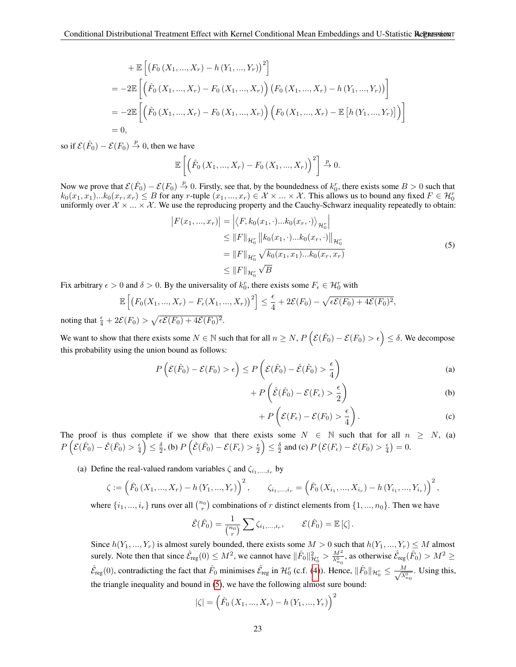+ 
$$
\mathbb{E}\left[\left(F_0(X_1,...,X_r) - h(Y_1,...,Y_r)\right)^2\right]
$$
  
\n=  $-2\mathbb{E}\left[\left(\hat{F}_0(X_1,...,X_r) - F_0(X_1,...,X_r)\right)\left(F_0(X_1,...,X_r) - h(Y_1,...,Y_r)\right)\right]$   
\n=  $-2\mathbb{E}\left[\left(\hat{F}_0(X_1,...,X_r) - F_0(X_1,...,X_r)\right)\left(F_0(X_1,...,X_r) - \mathbb{E}\left[h(Y_1,...,Y_r)\right]\right)\right]$   
\n= 0,

so if  $\mathcal{E}(\hat{F}_0) - \mathcal{E}(F_0) \stackrel{p}{\to} 0$ , then we have

$$
\mathbb{E}\left[\left(\hat{F}_0\left(X_1,\ldots,X_r\right)-F_0\left(X_1,\ldots,X_r\right)\right)^2\right] \xrightarrow{p} 0.
$$

Now we prove that  $\mathcal{E}(\hat{F}_0) - \mathcal{E}(F_0) \stackrel{p}{\to} 0$ . Firstly, see that, by the boundedness of  $k_0^r$ , there exists some  $B > 0$  such that  $k_0(x_1, x_1)...k_0(x_r, x_r) \leq B$  for any r-tuple  $(x_1, ..., x_r) \in \mathcal{X} \times ... \times \mathcal{X}$ . This allows us to bound any fixed  $F \in \mathcal{H}_0^r$ uniformly over  $\mathcal{X} \times ... \times \mathcal{X}$ . We use the reproducing property and the Cauchy-Schwarz inequality repeatedly to obtain:

$$
|F(x_1, ..., x_r)| = \left| \langle F, k_0(x_1, \cdot) ... k_0(x_r, \cdot) \rangle_{\mathcal{H}_0^r} \right|
$$
  
\n
$$
\leq ||F||_{\mathcal{H}_0^r} ||k_0(x_1, \cdot) ... k_0(x_r, \cdot) ||_{\mathcal{H}_0^r}
$$
  
\n
$$
= ||F||_{\mathcal{H}_0^r} \sqrt{k_0(x_1, x_1) ... k_0(x_r, x_r)}
$$
  
\n
$$
\leq ||F||_{\mathcal{H}_0^r} \sqrt{B}
$$
\n(5)

<span id="page-22-0"></span>Fix arbitrary  $\epsilon > 0$  and  $\delta > 0$ . By the universality of  $k_0^r$ , there exists some  $F_{\epsilon} \in \mathcal{H}_0^r$  with

$$
\mathbb{E}\left[\left(F_0(X_1, ..., X_r) - F_{\epsilon}(X_1, ..., X_r)\right)^2\right] \le \frac{\epsilon}{4} + 2\mathcal{E}(F_0) - \sqrt{\epsilon \mathcal{E}(F_0) + 4\mathcal{E}(F_0)^2},
$$
  

$$
2\mathcal{E}(F_0) > \sqrt{\epsilon \mathcal{E}(F_0) + 4\mathcal{E}(F_0)^2}
$$

noting that  $\frac{\epsilon}{4} + 2\mathcal{E}(F_0) > \sqrt{\epsilon \mathcal{E}(F_0) + 4\mathcal{E}(F_0)}$ 2.

We want to show that there exists some  $N \in \mathbb{N}$  such that for all  $n \ge N$ ,  $P\left(\mathcal{E}(\hat{F}_0) - \mathcal{E}(F_0) > \epsilon\right) \le \delta$ . We decompose this probability using the union bound as follows:

$$
P\left(\mathcal{E}(\hat{F}_0) - \mathcal{E}(F_0) > \epsilon\right) \le P\left(\mathcal{E}(\hat{F}_0) - \hat{\mathcal{E}}(\hat{F}_0) > \frac{\epsilon}{4}\right)
$$
 (a)

$$
+ P\left(\hat{\mathcal{E}}(\hat{F}_0) - \mathcal{E}(F_{\epsilon}) > \frac{\epsilon}{2}\right) \tag{b}
$$

$$
+ P\left(\mathcal{E}(F_{\epsilon}) - \mathcal{E}(F_0) > \frac{\epsilon}{4}\right). \tag{c}
$$

The proof is thus complete if we show that there exists some  $N \in \mathbb{N}$  such that for all  $n \ge N$ , (a)  $P\left(\mathcal{E}(\hat{F}_0) - \hat{\mathcal{E}}(\hat{F}_0) > \frac{\epsilon}{4}\right) \leq \frac{\delta}{2}$ , (b)  $P\left(\hat{\mathcal{E}}(\hat{F}_0) - \mathcal{E}(F_{\epsilon}) > \frac{\epsilon}{2}\right) \leq \frac{\delta}{2}$  and (c)  $P\left(\mathcal{E}(F_{\epsilon}) - \mathcal{E}(F_0) > \frac{\epsilon}{4}\right) = 0$ .

(a) Define the real-valued random variables  $\zeta$  and  $\zeta_{i_1,\dots,i_r}$  by

$$
\zeta := \left( \hat{F}_0 \left( X_1, ..., X_r \right) - h \left( Y_1, ..., Y_r \right) \right)^2, \qquad \zeta_{i_1, ..., i_r} = \left( \hat{F}_0 \left( X_{i_1}, ..., X_{i_r} \right) - h \left( Y_{i_1}, ..., Y_{i_r} \right) \right)^2,
$$

where  $\{i_1, ..., i_r\}$  runs over all  $\binom{n_0}{r}$  combinations of r distinct elements from  $\{1, ..., n_0\}$ . Then we have

$$
\hat{\mathcal{E}}(\hat{F}_0) = \frac{1}{\binom{n_0}{r}} \sum \zeta_{i_1,\dots,i_r}, \qquad \mathcal{E}(\hat{F}_0) = \mathbb{E}[\zeta].
$$

Since  $h(Y_1, ..., Y_r)$  is almost surely bounded, there exists some  $M > 0$  such that  $h(Y_1, ..., Y_r) \leq M$  almost surely. Note then that since  $\hat{\mathcal{E}}_{reg}(0) \leq M^2$ , we cannot have  $\|\hat{F}_0\|_{\mathcal{H}_0^r}^2 > \frac{M^2}{\lambda_{n_0}^0}$ , as otherwise  $\hat{\mathcal{E}}_{reg}(\hat{F}_0) > M^2 \geq$  $\hat{\mathcal{E}}_{reg}(0)$ , contradicting the fact that  $\hat{F}_0$  minimises  $\hat{\mathcal{E}}_{reg}$  in  $\mathcal{H}_0^r$  (c.f. [\(4\)](#page-7-0)). Hence,  $\|\hat{F}_0\|_{\mathcal{H}_0^r} \leq \frac{M}{\sqrt{\lambda^0}}$  $\frac{M}{\lambda_{n_0}^0}$ . Using this, the triangle inequality and bound in [\(5\)](#page-22-0), we have the following almost sure bound:

$$
|\zeta| = \left(\hat{F}_0\left(X_1, ..., X_r\right) - h\left(Y_1, ..., Y_r\right)\right)^2
$$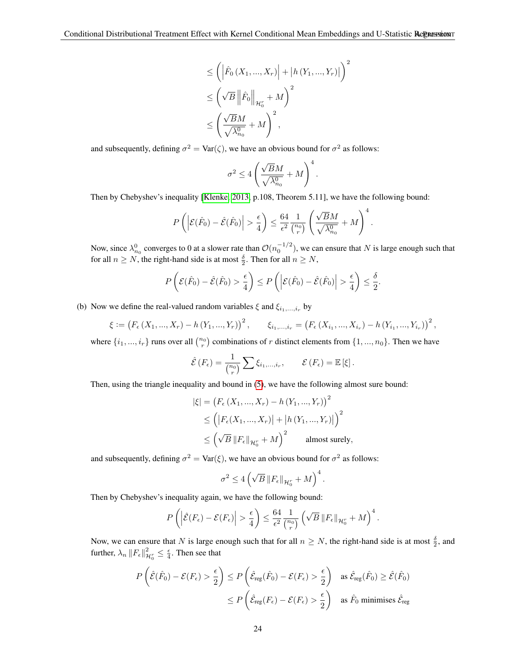$$
\leq \left( \left| \hat{F}_0 \left( X_1, ..., X_r \right) \right| + \left| h \left( Y_1, ..., Y_r \right) \right| \right)^2
$$
  

$$
\leq \left( \sqrt{B} \left\| \hat{F}_0 \right\|_{\mathcal{H}_0^r} + M \right)^2
$$
  

$$
\leq \left( \frac{\sqrt{B}M}{\sqrt{\lambda_{n_0}}^0} + M \right)^2,
$$

and subsequently, defining  $\sigma^2 = \text{Var}(\zeta)$ , we have an obvious bound for  $\sigma^2$  as follows:

$$
\sigma^2 \leq 4 \left( \frac{\sqrt{B} M}{\sqrt{\lambda_{n_0}^0}} + M \right)^4.
$$

Then by Chebyshev's inequality [\[Klenke, 2013,](#page-11-26) p.108, Theorem 5.11], we have the following bound:

$$
P\left(\left|\mathcal{E}(\hat{F}_0) - \hat{\mathcal{E}}(\hat{F}_0)\right| > \frac{\epsilon}{4}\right) \le \frac{64}{\epsilon^2} \frac{1}{\binom{n_0}{r}} \left(\frac{\sqrt{B}M}{\sqrt{\lambda_{n_0}^0}} + M\right)^4.
$$

Now, since  $\lambda_{n_0}^0$  converges to 0 at a slower rate than  $\mathcal{O}(n_0^{-1/2})$ , we can ensure that N is large enough such that for all  $n \ge N$ , the right-hand side is at most  $\frac{\delta}{2}$ . Then for all  $n \ge N$ ,

$$
P\left(\mathcal{E}(\hat{F}_0) - \hat{\mathcal{E}}(\hat{F}_0) > \frac{\epsilon}{4}\right) \le P\left(\left|\mathcal{E}(\hat{F}_0) - \hat{\mathcal{E}}(\hat{F}_0)\right| > \frac{\epsilon}{4}\right) \le \frac{\delta}{2}.
$$

(b) Now we define the real-valued random variables  $\xi$  and  $\xi_{i_1,\dots,i_r}$  by

$$
\xi := (F_{\epsilon}(X_1, ..., X_r) - h(Y_1, ..., Y_r))^2, \qquad \xi_{i_1, ..., i_r} = (F_{\epsilon}(X_{i_1}, ..., X_{i_r}) - h(Y_{i_1}, ..., Y_{i_r}))^2,
$$

where  $\{i_1, ..., i_r\}$  runs over all  $\binom{n_0}{r}$  combinations of r distinct elements from  $\{1, ..., n_0\}$ . Then we have

$$
\hat{\mathcal{E}}\left(F_{\epsilon}\right) = \frac{1}{\binom{n_0}{r}} \sum \xi_{i_1,\dots,i_r}, \qquad \mathcal{E}\left(F_{\epsilon}\right) = \mathbb{E}\left[\xi\right].
$$

Then, using the triangle inequality and bound in [\(5\)](#page-22-0), we have the following almost sure bound:

$$
|\xi| = (F_{\epsilon}(X_1, ..., X_r) - h(Y_1, ..., Y_r))^2
$$
  
\n
$$
\leq (|F_{\epsilon}(X_1, ..., X_r)| + |h(Y_1, ..., Y_r)|)^2
$$
  
\n
$$
\leq (\sqrt{B} ||F_{\epsilon}||_{\mathcal{H}_0^r} + M)^2
$$
 almost surely,

and subsequently, defining  $\sigma^2 = \text{Var}(\xi)$ , we have an obvious bound for  $\sigma^2$  as follows:

$$
\sigma^2 \le 4\left(\sqrt{B}\left\|F_{\epsilon}\right\|_{\mathcal{H}_0^r}+M\right)^4.
$$

Then by Chebyshev's inequality again, we have the following bound:

$$
P\left(\left|\widehat{\mathcal{E}}(F_{\epsilon})-\mathcal{E}(F_{\epsilon})\right|>\frac{\epsilon}{4}\right)\leq\frac{64}{\epsilon^2}\frac{1}{{n_0\choose r}}\left(\sqrt{B}\left\|F_{\epsilon}\right\|_{\mathcal{H}_0^r}+M\right)^4
$$

.

Now, we can ensure that N is large enough such that for all  $n \geq N$ , the right-hand side is at most  $\frac{\delta}{2}$ , and further,  $\lambda_n \|F_{\epsilon}\|_{\mathcal{H}_0^r}^2 \leq \frac{\epsilon}{4}$ . Then see that

$$
P\left(\hat{\mathcal{E}}(\hat{F}_0) - \mathcal{E}(F_\epsilon) > \frac{\epsilon}{2}\right) \le P\left(\hat{\mathcal{E}}_{\text{reg}}(\hat{F}_0) - \mathcal{E}(F_\epsilon) > \frac{\epsilon}{2}\right) \quad \text{as } \hat{\mathcal{E}}_{\text{reg}}(\hat{F}_0) \ge \hat{\mathcal{E}}(\hat{F}_0)
$$

$$
\le P\left(\hat{\mathcal{E}}_{\text{reg}}(F_\epsilon) - \mathcal{E}(F_\epsilon) > \frac{\epsilon}{2}\right) \quad \text{as } \hat{F}_0 \text{ minimises } \hat{\mathcal{E}}_{\text{reg}}
$$